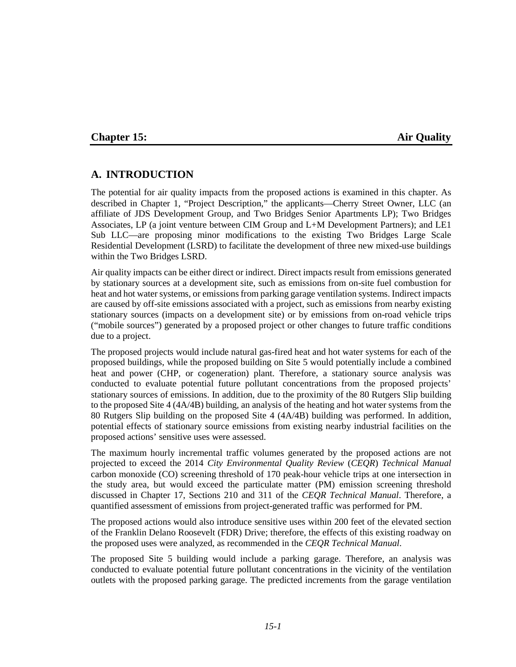#### **Chapter 15: Air Quality**

### **A. INTRODUCTION**

The potential for air quality impacts from the proposed actions is examined in this chapter. As described in Chapter 1, "Project Description," the applicants—Cherry Street Owner, LLC (an affiliate of JDS Development Group, and Two Bridges Senior Apartments LP); Two Bridges Associates, LP (a joint venture between CIM Group and L+M Development Partners); and LE1 Sub LLC—are proposing minor modifications to the existing Two Bridges Large Scale Residential Development (LSRD) to facilitate the development of three new mixed-use buildings within the Two Bridges LSRD.

Air quality impacts can be either direct or indirect. Direct impacts result from emissions generated by stationary sources at a development site, such as emissions from on-site fuel combustion for heat and hot water systems, or emissions from parking garage ventilation systems. Indirect impacts are caused by off-site emissions associated with a project, such as emissions from nearby existing stationary sources (impacts on a development site) or by emissions from on-road vehicle trips ("mobile sources") generated by a proposed project or other changes to future traffic conditions due to a project.

The proposed projects would include natural gas-fired heat and hot water systems for each of the proposed buildings, while the proposed building on Site 5 would potentially include a combined heat and power (CHP, or cogeneration) plant. Therefore, a stationary source analysis was conducted to evaluate potential future pollutant concentrations from the proposed projects' stationary sources of emissions. In addition, due to the proximity of the 80 Rutgers Slip building to the proposed Site 4 (4A/4B) building, an analysis of the heating and hot water systems from the 80 Rutgers Slip building on the proposed Site 4 (4A/4B) building was performed. In addition, potential effects of stationary source emissions from existing nearby industrial facilities on the proposed actions' sensitive uses were assessed.

The maximum hourly incremental traffic volumes generated by the proposed actions are not projected to exceed the 2014 *City Environmental Quality Review* (*CEQR*) *Technical Manual*  carbon monoxide (CO) screening threshold of 170 peak-hour vehicle trips at one intersection in the study area, but would exceed the particulate matter (PM) emission screening threshold discussed in Chapter 17, Sections 210 and 311 of the *CEQR Technical Manual*. Therefore, a quantified assessment of emissions from project-generated traffic was performed for PM.

The proposed actions would also introduce sensitive uses within 200 feet of the elevated section of the Franklin Delano Roosevelt (FDR) Drive; therefore, the effects of this existing roadway on the proposed uses were analyzed, as recommended in the *CEQR Technical Manual*.

The proposed Site 5 building would include a parking garage. Therefore, an analysis was conducted to evaluate potential future pollutant concentrations in the vicinity of the ventilation outlets with the proposed parking garage. The predicted increments from the garage ventilation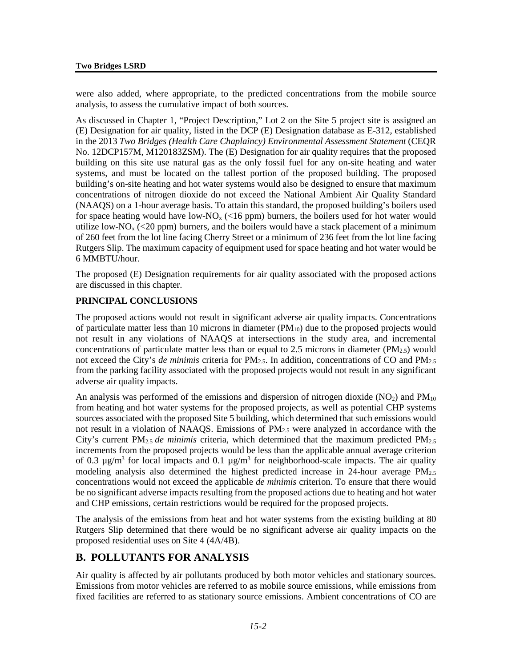were also added, where appropriate, to the predicted concentrations from the mobile source analysis, to assess the cumulative impact of both sources.

As discussed in Chapter 1, "Project Description," Lot 2 on the Site 5 project site is assigned an (E) Designation for air quality, listed in the DCP (E) Designation database as E-312, established in the 2013 *Two Bridges (Health Care Chaplaincy) Environmental Assessment Statement* (CEQR No. 12DCP157M, M120183ZSM). The (E) Designation for air quality requires that the proposed building on this site use natural gas as the only fossil fuel for any on-site heating and water systems, and must be located on the tallest portion of the proposed building. The proposed building's on-site heating and hot water systems would also be designed to ensure that maximum concentrations of nitrogen dioxide do not exceed the National Ambient Air Quality Standard (NAAQS) on a 1-hour average basis. To attain this standard, the proposed building's boilers used for space heating would have low-NO<sub>x</sub> (<16 ppm) burners, the boilers used for hot water would utilize low-NO<sub>x</sub> (<20 ppm) burners, and the boilers would have a stack placement of a minimum of 260 feet from the lot line facing Cherry Street or a minimum of 236 feet from the lot line facing Rutgers Slip. The maximum capacity of equipment used for space heating and hot water would be 6 MMBTU/hour.

The proposed (E) Designation requirements for air quality associated with the proposed actions are discussed in this chapter.

#### **PRINCIPAL CONCLUSIONS**

The proposed actions would not result in significant adverse air quality impacts. Concentrations of particulate matter less than 10 microns in diameter  $(PM_{10})$  due to the proposed projects would not result in any violations of NAAQS at intersections in the study area, and incremental concentrations of particulate matter less than or equal to 2.5 microns in diameter ( $PM_{2.5}$ ) would not exceed the City's *de minimis* criteria for PM<sub>2.5</sub>. In addition, concentrations of CO and PM<sub>2.5</sub> from the parking facility associated with the proposed projects would not result in any significant adverse air quality impacts.

An analysis was performed of the emissions and dispersion of nitrogen dioxide  $(NO<sub>2</sub>)$  and  $PM<sub>10</sub>$ from heating and hot water systems for the proposed projects, as well as potential CHP systems sources associated with the proposed Site 5 building, which determined that such emissions would not result in a violation of NAAQS. Emissions of  $PM_{2.5}$  were analyzed in accordance with the City's current PM<sub>2.5</sub> *de minimis* criteria, which determined that the maximum predicted PM<sub>2.5</sub> increments from the proposed projects would be less than the applicable annual average criterion of 0.3  $\mu$ g/m<sup>3</sup> for local impacts and 0.1  $\mu$ g/m<sup>3</sup> for neighborhood-scale impacts. The air quality modeling analysis also determined the highest predicted increase in 24-hour average  $PM_{2.5}$ concentrations would not exceed the applicable *de minimis* criterion. To ensure that there would be no significant adverse impacts resulting from the proposed actions due to heating and hot water and CHP emissions, certain restrictions would be required for the proposed projects.

The analysis of the emissions from heat and hot water systems from the existing building at 80 Rutgers Slip determined that there would be no significant adverse air quality impacts on the proposed residential uses on Site 4 (4A/4B).

### **B. POLLUTANTS FOR ANALYSIS**

Air quality is affected by air pollutants produced by both motor vehicles and stationary sources. Emissions from motor vehicles are referred to as mobile source emissions, while emissions from fixed facilities are referred to as stationary source emissions. Ambient concentrations of CO are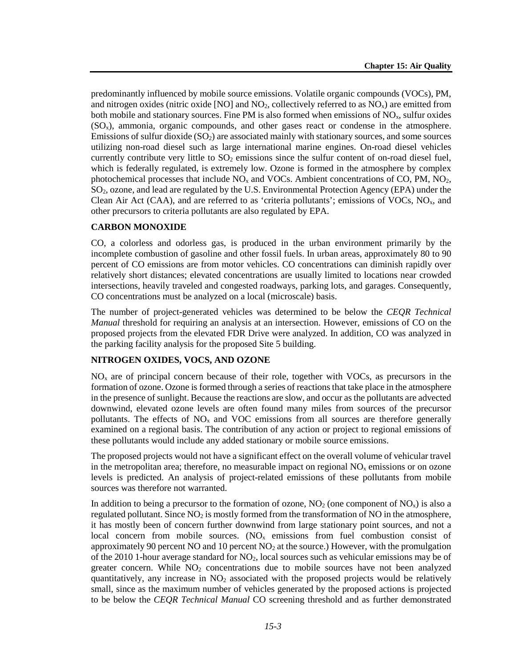predominantly influenced by mobile source emissions. Volatile organic compounds (VOCs), PM, and nitrogen oxides (nitric oxide [NO] and  $NO<sub>2</sub>$ , collectively referred to as  $NO<sub>x</sub>$ ) are emitted from both mobile and stationary sources. Fine PM is also formed when emissions of  $NO<sub>x</sub>$ , sulfur oxides (SOx), ammonia, organic compounds, and other gases react or condense in the atmosphere. Emissions of sulfur dioxide  $(SO<sub>2</sub>)$  are associated mainly with stationary sources, and some sources utilizing non-road diesel such as large international marine engines. On-road diesel vehicles currently contribute very little to  $SO<sub>2</sub>$  emissions since the sulfur content of on-road diesel fuel, which is federally regulated, is extremely low. Ozone is formed in the atmosphere by complex photochemical processes that include  $NO<sub>x</sub>$  and VOCs. Ambient concentrations of CO, PM,  $NO<sub>2</sub>$ , SO2, ozone, and lead are regulated by the U.S. Environmental Protection Agency (EPA) under the Clean Air Act (CAA), and are referred to as 'criteria pollutants'; emissions of VOCs,  $NO<sub>x</sub>$ , and other precursors to criteria pollutants are also regulated by EPA.

#### **CARBON MONOXIDE**

CO, a colorless and odorless gas, is produced in the urban environment primarily by the incomplete combustion of gasoline and other fossil fuels. In urban areas, approximately 80 to 90 percent of CO emissions are from motor vehicles. CO concentrations can diminish rapidly over relatively short distances; elevated concentrations are usually limited to locations near crowded intersections, heavily traveled and congested roadways, parking lots, and garages. Consequently, CO concentrations must be analyzed on a local (microscale) basis.

The number of project-generated vehicles was determined to be below the *CEQR Technical Manual* threshold for requiring an analysis at an intersection. However, emissions of CO on the proposed projects from the elevated FDR Drive were analyzed. In addition, CO was analyzed in the parking facility analysis for the proposed Site 5 building.

#### **NITROGEN OXIDES, VOCS, AND OZONE**

 $NO<sub>x</sub>$  are of principal concern because of their role, together with VOCs, as precursors in the formation of ozone. Ozone is formed through a series of reactions that take place in the atmosphere in the presence of sunlight. Because the reactions are slow, and occur as the pollutants are advected downwind, elevated ozone levels are often found many miles from sources of the precursor pollutants. The effects of  $NO<sub>x</sub>$  and VOC emissions from all sources are therefore generally examined on a regional basis. The contribution of any action or project to regional emissions of these pollutants would include any added stationary or mobile source emissions.

The proposed projects would not have a significant effect on the overall volume of vehicular travel in the metropolitan area; therefore, no measurable impact on regional  $NO<sub>x</sub>$  emissions or on ozone levels is predicted. An analysis of project-related emissions of these pollutants from mobile sources was therefore not warranted.

In addition to being a precursor to the formation of ozone,  $NO<sub>2</sub>$  (one component of  $NO<sub>x</sub>$ ) is also a regulated pollutant. Since  $NO<sub>2</sub>$  is mostly formed from the transformation of NO in the atmosphere, it has mostly been of concern further downwind from large stationary point sources, and not a local concern from mobile sources.  $(NO<sub>x</sub>$  emissions from fuel combustion consist of approximately 90 percent NO and 10 percent  $NO<sub>2</sub>$  at the source.) However, with the promulgation of the 2010 1-hour average standard for  $NO<sub>2</sub>$ , local sources such as vehicular emissions may be of greater concern. While  $NO<sub>2</sub>$  concentrations due to mobile sources have not been analyzed quantitatively, any increase in NO<sub>2</sub> associated with the proposed projects would be relatively small, since as the maximum number of vehicles generated by the proposed actions is projected to be below the *CEQR Technical Manual* CO screening threshold and as further demonstrated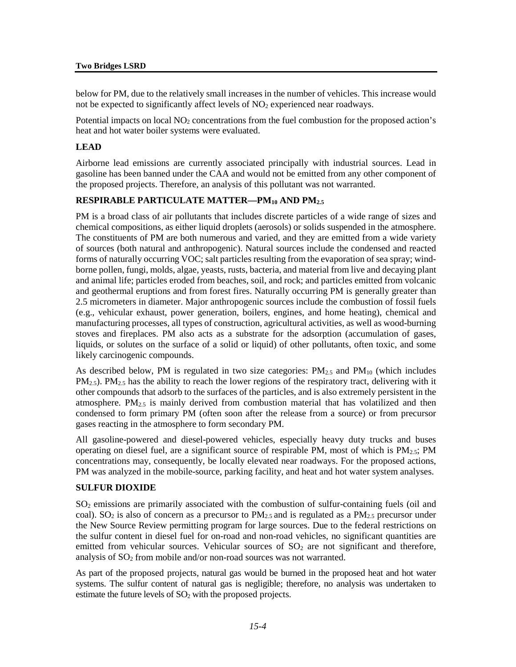below for PM, due to the relatively small increases in the number of vehicles. This increase would not be expected to significantly affect levels of  $NO<sub>2</sub>$  experienced near roadways.

Potential impacts on local  $NO<sub>2</sub>$  concentrations from the fuel combustion for the proposed action's heat and hot water boiler systems were evaluated.

#### **LEAD**

Airborne lead emissions are currently associated principally with industrial sources. Lead in gasoline has been banned under the CAA and would not be emitted from any other component of the proposed projects. Therefore, an analysis of this pollutant was not warranted.

#### **RESPIRABLE PARTICULATE MATTER—PM10 AND PM2.5**

PM is a broad class of air pollutants that includes discrete particles of a wide range of sizes and chemical compositions, as either liquid droplets (aerosols) or solids suspended in the atmosphere. The constituents of PM are both numerous and varied, and they are emitted from a wide variety of sources (both natural and anthropogenic). Natural sources include the condensed and reacted forms of naturally occurring VOC; salt particles resulting from the evaporation of sea spray; windborne pollen, fungi, molds, algae, yeasts, rusts, bacteria, and material from live and decaying plant and animal life; particles eroded from beaches, soil, and rock; and particles emitted from volcanic and geothermal eruptions and from forest fires. Naturally occurring PM is generally greater than 2.5 micrometers in diameter. Major anthropogenic sources include the combustion of fossil fuels (e.g., vehicular exhaust, power generation, boilers, engines, and home heating), chemical and manufacturing processes, all types of construction, agricultural activities, as well as wood-burning stoves and fireplaces. PM also acts as a substrate for the adsorption (accumulation of gases, liquids, or solutes on the surface of a solid or liquid) of other pollutants, often toxic, and some likely carcinogenic compounds.

As described below, PM is regulated in two size categories:  $PM_{2.5}$  and  $PM_{10}$  (which includes  $PM_{2.5}$ ). PM<sub>2.5</sub> has the ability to reach the lower regions of the respiratory tract, delivering with it other compounds that adsorb to the surfaces of the particles, and is also extremely persistent in the atmosphere.  $PM_{2.5}$  is mainly derived from combustion material that has volatilized and then condensed to form primary PM (often soon after the release from a source) or from precursor gases reacting in the atmosphere to form secondary PM.

All gasoline-powered and diesel-powered vehicles, especially heavy duty trucks and buses operating on diesel fuel, are a significant source of respirable PM, most of which is  $PM_{2.5}$ ; PM concentrations may, consequently, be locally elevated near roadways. For the proposed actions, PM was analyzed in the mobile-source, parking facility, and heat and hot water system analyses.

#### **SULFUR DIOXIDE**

SO2 emissions are primarily associated with the combustion of sulfur-containing fuels (oil and coal). SO<sub>2</sub> is also of concern as a precursor to  $PM_{2,5}$  and is regulated as a  $PM_{2,5}$  precursor under the New Source Review permitting program for large sources. Due to the federal restrictions on the sulfur content in diesel fuel for on-road and non-road vehicles, no significant quantities are emitted from vehicular sources. Vehicular sources of  $SO<sub>2</sub>$  are not significant and therefore, analysis of  $SO<sub>2</sub>$  from mobile and/or non-road sources was not warranted.

As part of the proposed projects, natural gas would be burned in the proposed heat and hot water systems. The sulfur content of natural gas is negligible; therefore, no analysis was undertaken to estimate the future levels of  $SO<sub>2</sub>$  with the proposed projects.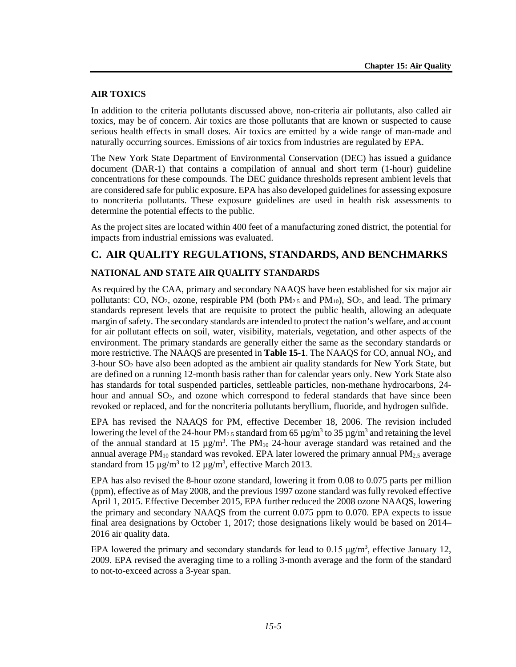#### **AIR TOXICS**

In addition to the criteria pollutants discussed above, non-criteria air pollutants, also called air toxics, may be of concern. Air toxics are those pollutants that are known or suspected to cause serious health effects in small doses. Air toxics are emitted by a wide range of man-made and naturally occurring sources. Emissions of air toxics from industries are regulated by EPA.

The New York State Department of Environmental Conservation (DEC) has issued a guidance document (DAR-1) that contains a compilation of annual and short term (1-hour) guideline concentrations for these compounds. The DEC guidance thresholds represent ambient levels that are considered safe for public exposure. EPA has also developed guidelines for assessing exposure to noncriteria pollutants. These exposure guidelines are used in health risk assessments to determine the potential effects to the public.

As the project sites are located within 400 feet of a manufacturing zoned district, the potential for impacts from industrial emissions was evaluated.

#### **C. AIR QUALITY REGULATIONS, STANDARDS, AND BENCHMARKS**

#### **NATIONAL AND STATE AIR QUALITY STANDARDS**

As required by the CAA, primary and secondary NAAQS have been established for six major air pollutants: CO, NO<sub>2</sub>, ozone, respirable PM (both  $PM_{2.5}$  and  $PM_{10}$ ), SO<sub>2</sub>, and lead. The primary standards represent levels that are requisite to protect the public health, allowing an adequate margin of safety. The secondary standards are intended to protect the nation's welfare, and account for air pollutant effects on soil, water, visibility, materials, vegetation, and other aspects of the environment. The primary standards are generally either the same as the secondary standards or more restrictive. The NAAQS are presented in **Table 15-1**. The NAAQS for CO, annual NO<sub>2</sub>, and 3-hour  $SO_2$  have also been adopted as the ambient air quality standards for New York State, but are defined on a running 12-month basis rather than for calendar years only. New York State also has standards for total suspended particles, settleable particles, non-methane hydrocarbons, 24 hour and annual SO<sub>2</sub>, and ozone which correspond to federal standards that have since been revoked or replaced, and for the noncriteria pollutants beryllium, fluoride, and hydrogen sulfide.

EPA has revised the NAAQS for PM, effective December 18, 2006. The revision included lowering the level of the 24-hour PM<sub>2.5</sub> standard from 65  $\mu$ g/m<sup>3</sup> to 35  $\mu$ g/m<sup>3</sup> and retaining the level of the annual standard at 15  $\mu$ g/m<sup>3</sup>. The PM<sub>10</sub> 24-hour average standard was retained and the annual average  $PM_{10}$  standard was revoked. EPA later lowered the primary annual  $PM_{2.5}$  average standard from 15  $\mu$ g/m<sup>3</sup> to 12  $\mu$ g/m<sup>3</sup>, effective March 2013.

EPA has also revised the 8-hour ozone standard, lowering it from 0.08 to 0.075 parts per million (ppm), effective as of May 2008, and the previous 1997 ozone standard was fully revoked effective April 1, 2015. Effective December 2015, EPA further reduced the 2008 ozone NAAQS, lowering the primary and secondary NAAQS from the current 0.075 ppm to 0.070. EPA expects to issue final area designations by October 1, 2017; those designations likely would be based on 2014– 2016 air quality data.

EPA lowered the primary and secondary standards for lead to  $0.15 \mu g/m^3$ , effective January 12, 2009. EPA revised the averaging time to a rolling 3-month average and the form of the standard to not-to-exceed across a 3-year span.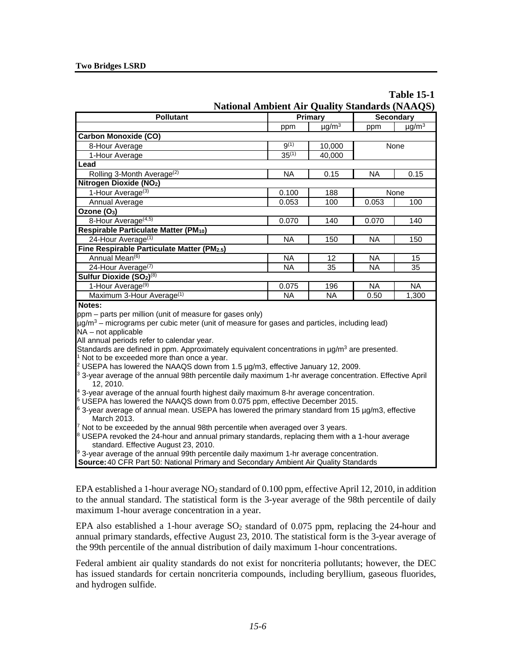| <b>Table 15-1</b>                                     |
|-------------------------------------------------------|
| <b>National Ambient Air Quality Standards (NAAQS)</b> |

| <b>Pollutant</b>                                 | Primary                       |                   | <b>Secondary</b> |                        |
|--------------------------------------------------|-------------------------------|-------------------|------------------|------------------------|
|                                                  | $\mu$ g/m <sup>3</sup><br>ppm |                   | ppm              | $\mu$ g/m <sup>3</sup> |
| <b>Carbon Monoxide (CO)</b>                      |                               |                   |                  |                        |
| 8-Hour Average                                   | $9^{(1)}$                     | 10,000            |                  | None                   |
| 1-Hour Average                                   | $35^{(1)}$                    | 40,000            |                  |                        |
| Lead                                             |                               |                   |                  |                        |
| Rolling 3-Month Average <sup>(2)</sup>           | <b>NA</b>                     | 0.15              | <b>NA</b>        | 0.15                   |
| Nitrogen Dioxide (NO2)                           |                               |                   |                  |                        |
| 1-Hour Average <sup>(3)</sup>                    | 0.100                         | 188               | None             |                        |
| Annual Average                                   | 0.053                         | 100               | 0.053            | 100                    |
| Ozone $(O_3)$                                    |                               |                   |                  |                        |
| 8-Hour Average <sup>(4,5)</sup>                  | 0.070                         | 140               | 0.070            | 140                    |
| Respirable Particulate Matter (PM10)             |                               |                   |                  |                        |
| 24-Hour Average <sup>(1)</sup>                   | <b>NA</b>                     | 150               | <b>NA</b>        | 150                    |
| Fine Respirable Particulate Matter (PM2.5)       |                               |                   |                  |                        |
| Annual Mean <sup>(6)</sup>                       | <b>NA</b>                     | $12 \overline{ }$ | <b>NA</b>        | 15                     |
| 24-Hour Average $(7)$                            | ΝA                            | 35                | NA.              | 35                     |
| Sulfur Dioxide (SO <sub>2</sub> ) <sup>(8)</sup> |                               |                   |                  |                        |
| 1-Hour Average <sup>(9)</sup>                    | 0.075                         | 196               | <b>NA</b>        | <b>NA</b>              |
| Maximum 3-Hour Average <sup>(1)</sup>            | ΝA                            | <b>NA</b>         | 0.50             | 1,300                  |
| Material                                         |                               |                   |                  |                        |

**Notes:**

ppm – parts per million (unit of measure for gases only)

 $\mu$ g/m<sup>3</sup> – micrograms per cubic meter (unit of measure for gases and particles, including lead) NA – not applicable

All annual periods refer to calendar year.

Standards are defined in ppm. Approximately equivalent concentrations in  $\mu q/m^3$  are presented.  $1$  Not to be exceeded more than once a year.

<sup>2</sup> USEPA has lowered the NAAQS down from 1.5  $\mu$ g/m3, effective January 12, 2009.

<sup>3</sup> 3-year average of the annual 98th percentile daily maximum 1-hr average concentration. Effective April 12, 2010.

<sup>4</sup> 3-year average of the annual fourth highest daily maximum 8-hr average concentration.

<sup>5</sup> USEPA has lowered the NAAQS down from 0.075 ppm, effective December 2015.

 $6$  3-year average of annual mean. USEPA has lowered the primary standard from 15  $\mu$ g/m3, effective March 2013.

Not to be exceeded by the annual 98th percentile when averaged over 3 years.

 $8$  USEPA revoked the 24-hour and annual primary standards, replacing them with a 1-hour average standard. Effective August 23, 2010.

9 3-year average of the annual 99th percentile daily maximum 1-hr average concentration.

**Source:**40 CFR Part 50: National Primary and Secondary Ambient Air Quality Standards

EPA established a 1-hour average  $NO<sub>2</sub>$  standard of 0.100 ppm, effective April 12, 2010, in addition to the annual standard. The statistical form is the 3-year average of the 98th percentile of daily maximum 1-hour average concentration in a year.

EPA also established a 1-hour average  $SO_2$  standard of 0.075 ppm, replacing the 24-hour and annual primary standards, effective August 23, 2010. The statistical form is the 3-year average of the 99th percentile of the annual distribution of daily maximum 1-hour concentrations.

Federal ambient air quality standards do not exist for noncriteria pollutants; however, the DEC has issued standards for certain noncriteria compounds, including beryllium, gaseous fluorides, and hydrogen sulfide.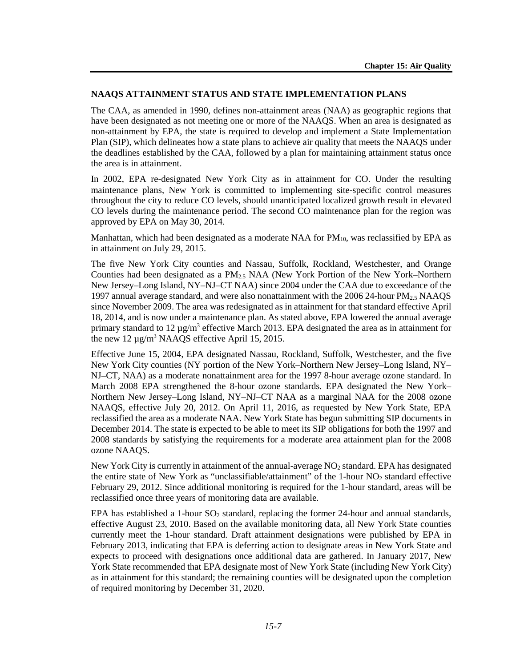#### **NAAQS ATTAINMENT STATUS AND STATE IMPLEMENTATION PLANS**

The CAA, as amended in 1990, defines non-attainment areas (NAA) as geographic regions that have been designated as not meeting one or more of the NAAQS. When an area is designated as non-attainment by EPA, the state is required to develop and implement a State Implementation Plan (SIP), which delineates how a state plans to achieve air quality that meets the NAAQS under the deadlines established by the CAA, followed by a plan for maintaining attainment status once the area is in attainment.

In 2002, EPA re-designated New York City as in attainment for CO. Under the resulting maintenance plans, New York is committed to implementing site-specific control measures throughout the city to reduce CO levels, should unanticipated localized growth result in elevated CO levels during the maintenance period. The second CO maintenance plan for the region was approved by EPA on May 30, 2014.

Manhattan, which had been designated as a moderate NAA for  $PM_{10}$ , was reclassified by EPA as in attainment on July 29, 2015.

The five New York City counties and Nassau, Suffolk, Rockland, Westchester, and Orange Counties had been designated as a  $PM_{2.5}$  NAA (New York Portion of the New York–Northern New Jersey–Long Island, NY–NJ–CT NAA) since 2004 under the CAA due to exceedance of the 1997 annual average standard, and were also nonattainment with the 2006 24-hour PM2.5 NAAQS since November 2009. The area was redesignated as in attainment for that standard effective April 18, 2014, and is now under a maintenance plan. As stated above, EPA lowered the annual average primary standard to 12  $\mu$ g/m<sup>3</sup> effective March 2013. EPA designated the area as in attainment for the new 12  $\mu$ g/m<sup>3</sup> NAAQS effective April 15, 2015.

Effective June 15, 2004, EPA designated Nassau, Rockland, Suffolk, Westchester, and the five New York City counties (NY portion of the New York–Northern New Jersey–Long Island, NY– NJ–CT, NAA) as a moderate nonattainment area for the 1997 8-hour average ozone standard. In March 2008 EPA strengthened the 8-hour ozone standards. EPA designated the New York– Northern New Jersey–Long Island, NY–NJ–CT NAA as a marginal NAA for the 2008 ozone NAAQS, effective July 20, 2012. On April 11, 2016, as requested by New York State, EPA reclassified the area as a moderate NAA. New York State has begun submitting SIP documents in December 2014. The state is expected to be able to meet its SIP obligations for both the 1997 and 2008 standards by satisfying the requirements for a moderate area attainment plan for the 2008 ozone NAAQS.

New York City is currently in attainment of the annual-average  $NO<sub>2</sub>$  standard. EPA has designated the entire state of New York as "unclassifiable/attainment" of the 1-hour  $NO<sub>2</sub>$  standard effective February 29, 2012. Since additional monitoring is required for the 1-hour standard, areas will be reclassified once three years of monitoring data are available.

EPA has established a 1-hour  $SO_2$  standard, replacing the former 24-hour and annual standards, effective August 23, 2010. Based on the available monitoring data, all New York State counties currently meet the 1-hour standard. Draft attainment designations were published by EPA in February 2013, indicating that EPA is deferring action to designate areas in New York State and expects to proceed with designations once additional data are gathered. In January 2017, New York State recommended that EPA designate most of New York State (including New York City) as in attainment for this standard; the remaining counties will be designated upon the completion of required monitoring by December 31, 2020.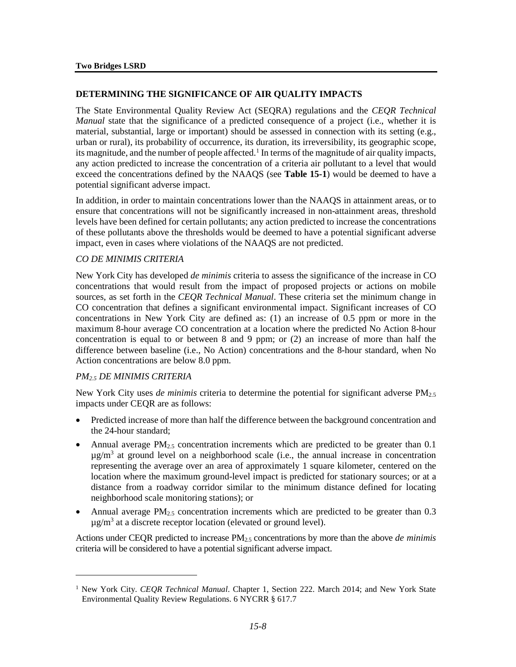#### **DETERMINING THE SIGNIFICANCE OF AIR QUALITY IMPACTS**

The State Environmental Quality Review Act (SEQRA) regulations and the *CEQR Technical Manual* state that the significance of a predicted consequence of a project (i.e., whether it is material, substantial, large or important) should be assessed in connection with its setting (e.g., urban or rural), its probability of occurrence, its duration, its irreversibility, its geographic scope, its magnitude, and the number of people affected.<sup>[1](#page-7-0)</sup> In terms of the magnitude of air quality impacts, any action predicted to increase the concentration of a criteria air pollutant to a level that would exceed the concentrations defined by the NAAQS (see **Table 15-1**) would be deemed to have a potential significant adverse impact.

In addition, in order to maintain concentrations lower than the NAAQS in attainment areas, or to ensure that concentrations will not be significantly increased in non-attainment areas, threshold levels have been defined for certain pollutants; any action predicted to increase the concentrations of these pollutants above the thresholds would be deemed to have a potential significant adverse impact, even in cases where violations of the NAAQS are not predicted.

#### *CO DE MINIMIS CRITERIA*

New York City has developed *de minimis* criteria to assess the significance of the increase in CO concentrations that would result from the impact of proposed projects or actions on mobile sources, as set forth in the *CEQR Technical Manual*. These criteria set the minimum change in CO concentration that defines a significant environmental impact. Significant increases of CO concentrations in New York City are defined as: (1) an increase of 0.5 ppm or more in the maximum 8-hour average CO concentration at a location where the predicted No Action 8-hour concentration is equal to or between 8 and 9 ppm; or (2) an increase of more than half the difference between baseline (i.e., No Action) concentrations and the 8-hour standard, when No Action concentrations are below 8.0 ppm.

#### *PM2.5 DE MINIMIS CRITERIA*

 $\overline{a}$ 

New York City uses *de minimis* criteria to determine the potential for significant adverse PM2.5 impacts under CEQR are as follows:

- Predicted increase of more than half the difference between the background concentration and the 24-hour standard;
- Annual average  $PM_{2.5}$  concentration increments which are predicted to be greater than 0.1  $\mu$ g/m<sup>3</sup> at ground level on a neighborhood scale (i.e., the annual increase in concentration representing the average over an area of approximately 1 square kilometer, centered on the location where the maximum ground-level impact is predicted for stationary sources; or at a distance from a roadway corridor similar to the minimum distance defined for locating neighborhood scale monitoring stations); or
- Annual average  $PM_{2.5}$  concentration increments which are predicted to be greater than 0.3  $\mu$ g/m<sup>3</sup> at a discrete receptor location (elevated or ground level).

Actions under CEQR predicted to increase PM2.5 concentrations by more than the above *de minimis* criteria will be considered to have a potential significant adverse impact.

<span id="page-7-0"></span><sup>1</sup> New York City. *CEQR Technical Manual*. Chapter 1, Section 222. March 2014; and New York State Environmental Quality Review Regulations. 6 NYCRR § 617.7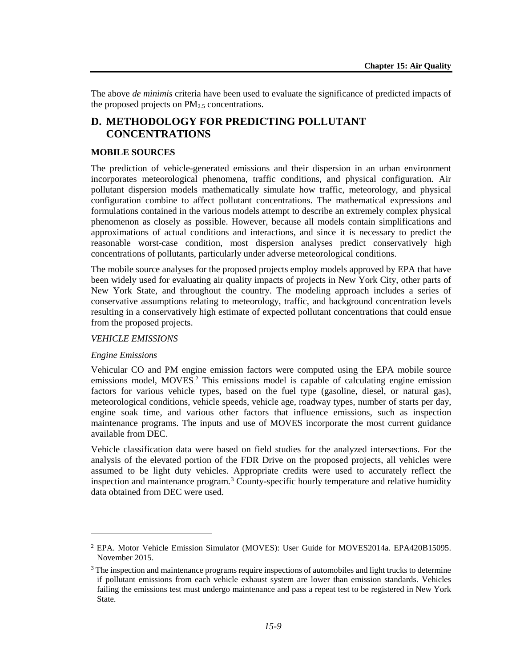The above *de minimis* criteria have been used to evaluate the significance of predicted impacts of the proposed projects on  $PM_{2.5}$  concentrations.

### **D. METHODOLOGY FOR PREDICTING POLLUTANT CONCENTRATIONS**

#### **MOBILE SOURCES**

The prediction of vehicle-generated emissions and their dispersion in an urban environment incorporates meteorological phenomena, traffic conditions, and physical configuration. Air pollutant dispersion models mathematically simulate how traffic, meteorology, and physical configuration combine to affect pollutant concentrations. The mathematical expressions and formulations contained in the various models attempt to describe an extremely complex physical phenomenon as closely as possible. However, because all models contain simplifications and approximations of actual conditions and interactions, and since it is necessary to predict the reasonable worst-case condition, most dispersion analyses predict conservatively high concentrations of pollutants, particularly under adverse meteorological conditions.

The mobile source analyses for the proposed projects employ models approved by EPA that have been widely used for evaluating air quality impacts of projects in New York City, other parts of New York State, and throughout the country. The modeling approach includes a series of conservative assumptions relating to meteorology, traffic, and background concentration levels resulting in a conservatively high estimate of expected pollutant concentrations that could ensue from the proposed projects.

#### *VEHICLE EMISSIONS*

#### *Engine Emissions*

 $\overline{a}$ 

Vehicular CO and PM engine emission factors were computed using the EPA mobile source emissions model, MOVES.<sup>[2](#page-8-0)</sup> This emissions model is capable of calculating engine emission factors for various vehicle types, based on the fuel type (gasoline, diesel, or natural gas), meteorological conditions, vehicle speeds, vehicle age, roadway types, number of starts per day, engine soak time, and various other factors that influence emissions, such as inspection maintenance programs. The inputs and use of MOVES incorporate the most current guidance available from DEC.

Vehicle classification data were based on field studies for the analyzed intersections. For the analysis of the elevated portion of the FDR Drive on the proposed projects, all vehicles were assumed to be light duty vehicles. Appropriate credits were used to accurately reflect the inspection and maintenance program.[3](#page-8-1) County-specific hourly temperature and relative humidity data obtained from DEC were used.

<span id="page-8-0"></span><sup>2</sup> EPA. Motor Vehicle Emission Simulator (MOVES): User Guide for MOVES2014a. EPA420B15095. November 2015.

<span id="page-8-1"></span><sup>&</sup>lt;sup>3</sup> The inspection and maintenance programs require inspections of automobiles and light trucks to determine if pollutant emissions from each vehicle exhaust system are lower than emission standards. Vehicles failing the emissions test must undergo maintenance and pass a repeat test to be registered in New York State.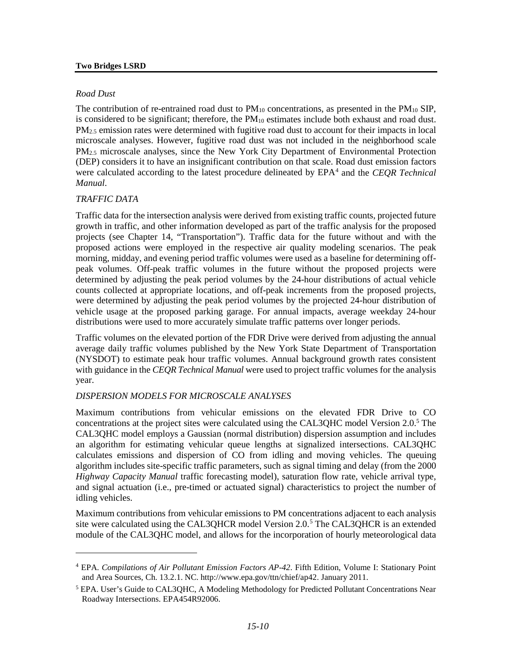#### **Two Bridges LSRD**

#### *Road Dust*

The contribution of re-entrained road dust to  $PM_{10}$  concentrations, as presented in the  $PM_{10}$  SIP, is considered to be significant; therefore, the  $PM_{10}$  estimates include both exhaust and road dust.  $PM<sub>2.5</sub>$  emission rates were determined with fugitive road dust to account for their impacts in local microscale analyses. However, fugitive road dust was not included in the neighborhood scale PM<sub>2.5</sub> microscale analyses, since the New York City Department of Environmental Protection (DEP) considers it to have an insignificant contribution on that scale. Road dust emission factors were calculated according to the latest procedure delineated by EPA<sup>[4](#page-9-0)</sup> and the *CEOR Technical Manual*.

#### *TRAFFIC DATA*

 $\overline{a}$ 

Traffic data for the intersection analysis were derived from existing traffic counts, projected future growth in traffic, and other information developed as part of the traffic analysis for the proposed projects (see Chapter 14, "Transportation"). Traffic data for the future without and with the proposed actions were employed in the respective air quality modeling scenarios. The peak morning, midday, and evening period traffic volumes were used as a baseline for determining offpeak volumes. Off-peak traffic volumes in the future without the proposed projects were determined by adjusting the peak period volumes by the 24-hour distributions of actual vehicle counts collected at appropriate locations, and off-peak increments from the proposed projects, were determined by adjusting the peak period volumes by the projected 24-hour distribution of vehicle usage at the proposed parking garage. For annual impacts, average weekday 24-hour distributions were used to more accurately simulate traffic patterns over longer periods.

Traffic volumes on the elevated portion of the FDR Drive were derived from adjusting the annual average daily traffic volumes published by the New York State Department of Transportation (NYSDOT) to estimate peak hour traffic volumes. Annual background growth rates consistent with guidance in the *CEQR Technical Manual* were used to project traffic volumes for the analysis year.

#### *DISPERSION MODELS FOR MICROSCALE ANALYSES*

Maximum contributions from vehicular emissions on the elevated FDR Drive to CO concentrations at the project sites were calculated using the CAL3QHC model Version 2.0.5 The CAL3QHC model employs a Gaussian (normal distribution) dispersion assumption and includes an algorithm for estimating vehicular queue lengths at signalized intersections. CAL3QHC calculates emissions and dispersion of CO from idling and moving vehicles. The queuing algorithm includes site-specific traffic parameters, such as signal timing and delay (from the 2000 *Highway Capacity Manual* traffic forecasting model), saturation flow rate, vehicle arrival type, and signal actuation (i.e., pre-timed or actuated signal) characteristics to project the number of idling vehicles.

Maximum contributions from vehicular emissions to PM concentrations adjacent to each analysis site were calculated using the CAL3QHCR model Version 2.0.<sup>[5](#page-9-1)</sup> The CAL3QHCR is an extended module of the CAL3QHC model, and allows for the incorporation of hourly meteorological data

<span id="page-9-0"></span><sup>4</sup> EPA. *Compilations of Air Pollutant Emission Factors AP-42*. Fifth Edition, Volume I: Stationary Point and Area Sources, Ch. 13.2.1. NC. http://www.epa.gov/ttn/chief/ap42. January 2011.

<span id="page-9-1"></span><sup>&</sup>lt;sup>5</sup> EPA. User's Guide to CAL3OHC, A Modeling Methodology for Predicted Pollutant Concentrations Near Roadway Intersections. EPA454R92006.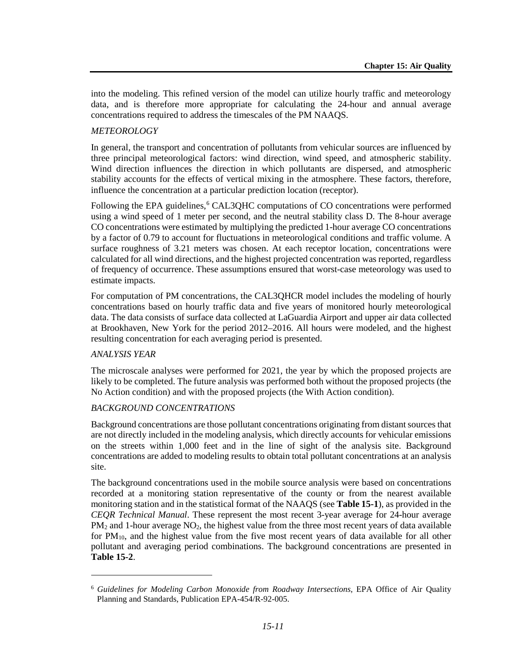into the modeling. This refined version of the model can utilize hourly traffic and meteorology data, and is therefore more appropriate for calculating the 24-hour and annual average concentrations required to address the timescales of the PM NAAQS.

#### *METEOROLOGY*

In general, the transport and concentration of pollutants from vehicular sources are influenced by three principal meteorological factors: wind direction, wind speed, and atmospheric stability. Wind direction influences the direction in which pollutants are dispersed, and atmospheric stability accounts for the effects of vertical mixing in the atmosphere. These factors, therefore, influence the concentration at a particular prediction location (receptor).

Following the EPA guidelines,<sup>[6](#page-10-0)</sup> CAL3QHC computations of CO concentrations were performed using a wind speed of 1 meter per second, and the neutral stability class D. The 8-hour average CO concentrations were estimated by multiplying the predicted 1-hour average CO concentrations by a factor of 0.79 to account for fluctuations in meteorological conditions and traffic volume. A surface roughness of 3.21 meters was chosen. At each receptor location, concentrations were calculated for all wind directions, and the highest projected concentration was reported, regardless of frequency of occurrence. These assumptions ensured that worst-case meteorology was used to estimate impacts.

For computation of PM concentrations, the CAL3QHCR model includes the modeling of hourly concentrations based on hourly traffic data and five years of monitored hourly meteorological data. The data consists of surface data collected at LaGuardia Airport and upper air data collected at Brookhaven, New York for the period 2012–2016. All hours were modeled, and the highest resulting concentration for each averaging period is presented.

#### *ANALYSIS YEAR*

 $\overline{a}$ 

The microscale analyses were performed for 2021, the year by which the proposed projects are likely to be completed. The future analysis was performed both without the proposed projects (the No Action condition) and with the proposed projects (the With Action condition).

#### *BACKGROUND CONCENTRATIONS*

Background concentrations are those pollutant concentrations originating from distant sources that are not directly included in the modeling analysis, which directly accounts for vehicular emissions on the streets within 1,000 feet and in the line of sight of the analysis site. Background concentrations are added to modeling results to obtain total pollutant concentrations at an analysis site.

The background concentrations used in the mobile source analysis were based on concentrations recorded at a monitoring station representative of the county or from the nearest available monitoring station and in the statistical format of the NAAQS (see **Table 15-1**), as provided in the *CEQR Technical Manual*. These represent the most recent 3-year average for 24-hour average  $PM<sub>2</sub>$  and 1-hour average  $NO<sub>2</sub>$ , the highest value from the three most recent years of data available for PM<sub>10</sub>, and the highest value from the five most recent years of data available for all other pollutant and averaging period combinations. The background concentrations are presented in **Table 15-2**.

<span id="page-10-0"></span><sup>6</sup> *Guidelines for Modeling Carbon Monoxide from Roadway Intersections*, EPA Office of Air Quality Planning and Standards, Publication EPA-454/R-92-005.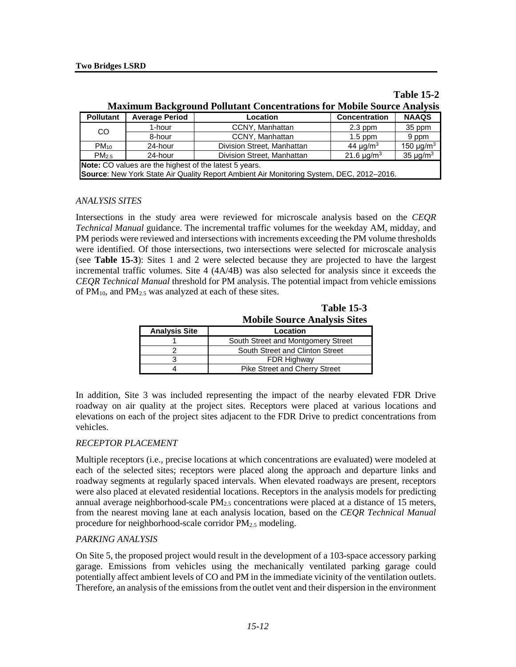| <b>Maximum Background Pollutant Concentrations for Mobile Source Analysis</b>                                         |                       |                                                                                          |                           |                            |  |
|-----------------------------------------------------------------------------------------------------------------------|-----------------------|------------------------------------------------------------------------------------------|---------------------------|----------------------------|--|
| <b>Pollutant</b>                                                                                                      | <b>Average Period</b> | Location                                                                                 | <b>Concentration</b>      | <b>NAAQS</b>               |  |
| <sub>CO</sub>                                                                                                         | 1-hour                | CCNY, Manhattan                                                                          | $2.3$ ppm                 | 35 ppm                     |  |
|                                                                                                                       | 8-hour                | CCNY, Manhattan                                                                          | $1.5$ ppm                 | 9 ppm                      |  |
| $PM_{10}$                                                                                                             | 24-hour               | Division Street, Manhattan                                                               | 44 $\mu$ g/m <sup>3</sup> | 150 $\mu$ g/m <sup>3</sup> |  |
| 35 $\mu$ g/m <sup>3</sup><br>21.6 $\mu$ g/m <sup>3</sup><br>Division Street, Manhattan<br>PM <sub>25</sub><br>24-hour |                       |                                                                                          |                           |                            |  |
| Note: CO values are the highest of the latest 5 years.                                                                |                       |                                                                                          |                           |                            |  |
|                                                                                                                       |                       | Source: New York State Air Quality Report Ambient Air Monitoring System, DEC, 2012-2016. |                           |                            |  |

**Table 15-2**

#### *ANALYSIS SITES*

Intersections in the study area were reviewed for microscale analysis based on the *CEQR Technical Manual* guidance. The incremental traffic volumes for the weekday AM, midday, and PM periods were reviewed and intersections with increments exceeding the PM volume thresholds were identified. Of those intersections, two intersections were selected for microscale analysis (see **Table 15-3**): Sites 1 and 2 were selected because they are projected to have the largest incremental traffic volumes. Site 4 (4A/4B) was also selected for analysis since it exceeds the *CEQR Technical Manual* threshold for PM analysis. The potential impact from vehicle emissions of  $PM_{10}$ , and  $PM_{2.5}$  was analyzed at each of these sites.

|                      | <b>Mobile Source Analysis Sites</b> |
|----------------------|-------------------------------------|
| <b>Analysis Site</b> | Location                            |
|                      | South Street and Montgomery Street  |
|                      | South Street and Clinton Street     |
|                      | <b>FDR Highway</b>                  |
|                      | Pike Street and Cherry Street       |

**Table 15-3**

In addition, Site 3 was included representing the impact of the nearby elevated FDR Drive roadway on air quality at the project sites. Receptors were placed at various locations and elevations on each of the project sites adjacent to the FDR Drive to predict concentrations from vehicles.

#### *RECEPTOR PLACEMENT*

Multiple receptors (i.e., precise locations at which concentrations are evaluated) were modeled at each of the selected sites; receptors were placed along the approach and departure links and roadway segments at regularly spaced intervals. When elevated roadways are present, receptors were also placed at elevated residential locations. Receptors in the analysis models for predicting annual average neighborhood-scale  $PM_{2.5}$  concentrations were placed at a distance of 15 meters, from the nearest moving lane at each analysis location, based on the *CEQR Technical Manual* procedure for neighborhood-scale corridor PM<sub>2.5</sub> modeling.

#### *PARKING ANALYSIS*

On Site 5, the proposed project would result in the development of a 103-space accessory parking garage. Emissions from vehicles using the mechanically ventilated parking garage could potentially affect ambient levels of CO and PM in the immediate vicinity of the ventilation outlets. Therefore, an analysis of the emissions from the outlet vent and their dispersion in the environment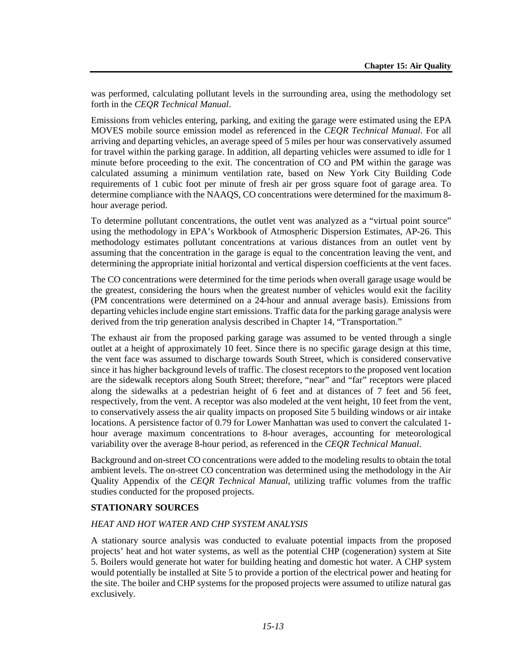was performed, calculating pollutant levels in the surrounding area, using the methodology set forth in the *CEQR Technical Manual*.

Emissions from vehicles entering, parking, and exiting the garage were estimated using the EPA MOVES mobile source emission model as referenced in the *CEQR Technical Manual*. For all arriving and departing vehicles, an average speed of 5 miles per hour was conservatively assumed for travel within the parking garage. In addition, all departing vehicles were assumed to idle for 1 minute before proceeding to the exit. The concentration of CO and PM within the garage was calculated assuming a minimum ventilation rate, based on New York City Building Code requirements of 1 cubic foot per minute of fresh air per gross square foot of garage area. To determine compliance with the NAAQS, CO concentrations were determined for the maximum 8 hour average period.

To determine pollutant concentrations, the outlet vent was analyzed as a "virtual point source" using the methodology in EPA's Workbook of Atmospheric Dispersion Estimates, AP-26. This methodology estimates pollutant concentrations at various distances from an outlet vent by assuming that the concentration in the garage is equal to the concentration leaving the vent, and determining the appropriate initial horizontal and vertical dispersion coefficients at the vent faces.

The CO concentrations were determined for the time periods when overall garage usage would be the greatest, considering the hours when the greatest number of vehicles would exit the facility (PM concentrations were determined on a 24-hour and annual average basis). Emissions from departing vehicles include engine start emissions. Traffic data for the parking garage analysis were derived from the trip generation analysis described in Chapter 14, "Transportation."

The exhaust air from the proposed parking garage was assumed to be vented through a single outlet at a height of approximately 10 feet. Since there is no specific garage design at this time, the vent face was assumed to discharge towards South Street, which is considered conservative since it has higher background levels of traffic. The closest receptors to the proposed vent location are the sidewalk receptors along South Street; therefore, "near" and "far" receptors were placed along the sidewalks at a pedestrian height of 6 feet and at distances of 7 feet and 56 feet, respectively, from the vent. A receptor was also modeled at the vent height, 10 feet from the vent, to conservatively assess the air quality impacts on proposed Site 5 building windows or air intake locations. A persistence factor of 0.79 for Lower Manhattan was used to convert the calculated 1 hour average maximum concentrations to 8-hour averages, accounting for meteorological variability over the average 8-hour period, as referenced in the *CEQR Technical Manual*.

Background and on-street CO concentrations were added to the modeling results to obtain the total ambient levels. The on-street CO concentration was determined using the methodology in the Air Quality Appendix of the *CEQR Technical Manual*, utilizing traffic volumes from the traffic studies conducted for the proposed projects.

#### **STATIONARY SOURCES**

#### *HEAT AND HOT WATER AND CHP SYSTEM ANALYSIS*

A stationary source analysis was conducted to evaluate potential impacts from the proposed projects' heat and hot water systems, as well as the potential CHP (cogeneration) system at Site 5. Boilers would generate hot water for building heating and domestic hot water. A CHP system would potentially be installed at Site 5 to provide a portion of the electrical power and heating for the site. The boiler and CHP systems for the proposed projects were assumed to utilize natural gas exclusively.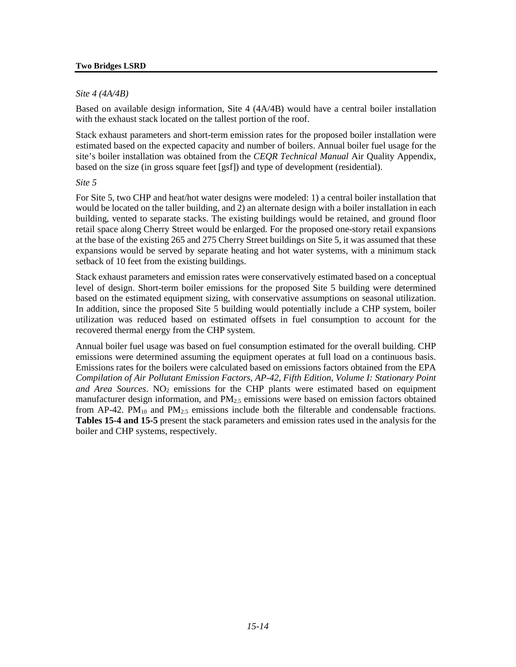#### *Site 4 (4A/4B)*

Based on available design information, Site 4 (4A/4B) would have a central boiler installation with the exhaust stack located on the tallest portion of the roof.

Stack exhaust parameters and short-term emission rates for the proposed boiler installation were estimated based on the expected capacity and number of boilers. Annual boiler fuel usage for the site's boiler installation was obtained from the *CEQR Technical Manual* Air Quality Appendix, based on the size (in gross square feet [gsf]) and type of development (residential).

#### *Site 5*

For Site 5, two CHP and heat/hot water designs were modeled: 1) a central boiler installation that would be located on the taller building, and 2) an alternate design with a boiler installation in each building, vented to separate stacks. The existing buildings would be retained, and ground floor retail space along Cherry Street would be enlarged. For the proposed one-story retail expansions at the base of the existing 265 and 275 Cherry Street buildings on Site 5, it was assumed that these expansions would be served by separate heating and hot water systems, with a minimum stack setback of 10 feet from the existing buildings.

Stack exhaust parameters and emission rates were conservatively estimated based on a conceptual level of design. Short-term boiler emissions for the proposed Site 5 building were determined based on the estimated equipment sizing, with conservative assumptions on seasonal utilization. In addition, since the proposed Site 5 building would potentially include a CHP system, boiler utilization was reduced based on estimated offsets in fuel consumption to account for the recovered thermal energy from the CHP system.

Annual boiler fuel usage was based on fuel consumption estimated for the overall building. CHP emissions were determined assuming the equipment operates at full load on a continuous basis. Emissions rates for the boilers were calculated based on emissions factors obtained from the EPA *Compilation of Air Pollutant Emission Factors, AP-42, Fifth Edition, Volume I: Stationary Point*  and Area Sources. NO<sub>2</sub> emissions for the CHP plants were estimated based on equipment manufacturer design information, and  $PM_{2.5}$  emissions were based on emission factors obtained from  $AP-42$ .  $PM_{10}$  and  $PM_{2.5}$  emissions include both the filterable and condensable fractions. **Tables 15-4 and 15-5** present the stack parameters and emission rates used in the analysis for the boiler and CHP systems, respectively.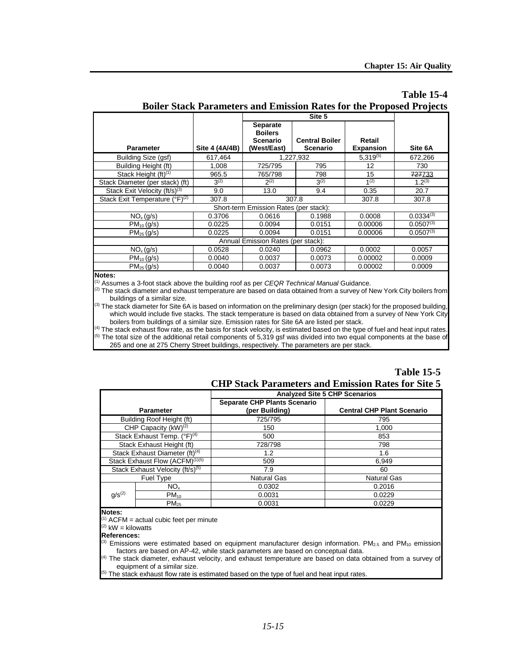# **Table 15-4**

|                                           |                |                                                              | Site 5                            |                            |                |
|-------------------------------------------|----------------|--------------------------------------------------------------|-----------------------------------|----------------------------|----------------|
| <b>Parameter</b>                          | Site 4 (4A/4B) | <b>Separate</b><br><b>Boilers</b><br>Scenario<br>(West/East) | <b>Central Boiler</b><br>Scenario | Retail<br><b>Expansion</b> | Site 6A        |
| Building Size (gsf)                       | 617,464        |                                                              | 1,227,932                         | $5.319^{(5)}$              | 672,266        |
| Building Height (ft)                      | 1.008          | 725/795                                                      | 795                               | 12                         | 730            |
| Stack Height (ft) <sup>(1)</sup>          | 965.5          | 765/798                                                      | 798                               | 15                         | 727733         |
| Stack Diameter (per stack) (ft)           | $3^{(2)}$      | $2^{(2)}$                                                    | $3^{(2)}$                         | 1 <sup>(2)</sup>           | $1.2^{(3)}$    |
| Stack Exit Velocity (ft/s) <sup>(3)</sup> | 9.0            | 13.0                                                         | 9.4                               | 0.35                       | 20.7           |
| Stack Exit Temperature $(°F)^{(2)}$       | 307.8          |                                                              | 307.8                             | 307.8                      | 307.8          |
|                                           |                | Short-term Emission Rates (per stack):                       |                                   |                            |                |
| NO <sub>x</sub> (g/s)                     | 0.3706         | 0.0616                                                       | 0.1988                            | 0.0008                     | $0.0334^{(3)}$ |
| $PM_{10}$ (g/s)                           | 0.0225         | 0.0094                                                       | 0.0151                            | 0.00006                    | $0.0507^{(3)}$ |
| $PM_{25} (g/s)$                           | 0.0225         | 0.0094                                                       | 0.0151                            | 0.00006                    | $0.0507^{(3)}$ |
| Annual Emission Rates (per stack):        |                |                                                              |                                   |                            |                |
| NO <sub>x</sub> (g/s)                     | 0.0528         | 0.0240                                                       | 0.0962                            | 0.0002                     | 0.0057         |
| $PM_{10}$ (g/s)                           | 0.0040         | 0.0037                                                       | 0.0073                            | 0.00002                    | 0.0009         |
| $PM_{25}$ (g/s)                           | 0.0040         | 0.0037                                                       | 0.0073                            | 0.00002                    | 0.0009         |

### **Boiler Stack Parameters and Emission Rates for the Proposed Projects**

#### **Notes:**

(1) Assumes a 3-foot stack above the building roof as per *CEQR Technical Manual* Guidance.

 $^{(2)}$  The stack diameter and exhaust temperature are based on data obtained from a survey of New York City boilers from buildings of a similar size.

<sup>(3)</sup> The stack diameter for Site 6A is based on information on the preliminary design (per stack) for the proposed building, which would include five stacks. The stack temperature is based on data obtained from a survey of New York City boilers from buildings of a similar size. Emission rates for Site 6A are listed per stack.

 $^{(4)}$  The stack exhaust flow rate, as the basis for stack velocity, is estimated based on the type of fuel and heat input rates.  $<sup>(5)</sup>$  The total size of the additional retail components of 5,319 gsf was divided into two equal components at the base of</sup> 265 and one at 275 Cherry Street buildings, respectively. The parameters are per stack.

#### **Table 15-5 CHP Stack Parameters and Emission Rates for Site 5**

|                                              |                                  | <b>Analyzed Site 5 CHP Scenarios</b>                  |                                   |  |
|----------------------------------------------|----------------------------------|-------------------------------------------------------|-----------------------------------|--|
|                                              | <b>Parameter</b>                 | <b>Separate CHP Plants Scenario</b><br>(per Building) | <b>Central CHP Plant Scenario</b> |  |
|                                              | Building Roof Height (ft)        | 725/795                                               | 795                               |  |
|                                              | CHP Capacity (kW) <sup>(2)</sup> | 150                                                   | 1,000                             |  |
|                                              | Stack Exhaust Temp. $(°F)^{(4)}$ | 500                                                   | 853                               |  |
| Stack Exhaust Height (ft)                    |                                  | 728/798                                               | 798                               |  |
| Stack Exhaust Diameter (ft) <sup>(4)</sup>   |                                  | 1.2                                                   | 1.6                               |  |
| Stack Exhaust Flow (ACFM) <sup>(1)(5)</sup>  |                                  | 509                                                   | 6,949                             |  |
| Stack Exhaust Velocity (ft/s) <sup>(5)</sup> |                                  | 7.9                                                   | 60                                |  |
|                                              | Fuel Type                        | <b>Natural Gas</b>                                    | <b>Natural Gas</b>                |  |
|                                              | NO <sub>x</sub>                  | 0.0302                                                | 0.2016                            |  |
| $q/s^{(2)}$                                  | $PM_{10}$                        | 0.0031                                                | 0.0229                            |  |
|                                              | $PM_{25}$                        | 0.0031                                                | 0.0229                            |  |

#### **Notes:**

 $ACFM = actual cubic feet per minute$ 

 $(2)$  kW = kilowatts

#### **References:**

<sup>3)</sup> Emissions were estimated based on equipment manufacturer design information. PM<sub>2.5</sub> and PM<sub>10</sub> emission factors are based on AP-42, while stack parameters are based on conceptual data.

 $4)$  The stack diameter, exhaust velocity, and exhaust temperature are based on data obtained from a survey of equipment of a similar size.

 $5)$  The stack exhaust flow rate is estimated based on the type of fuel and heat input rates.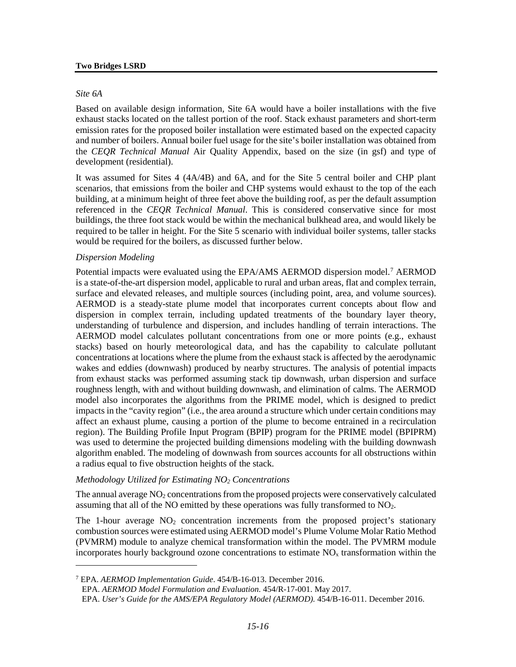#### *Site 6A*

Based on available design information, Site 6A would have a boiler installations with the five exhaust stacks located on the tallest portion of the roof. Stack exhaust parameters and short-term emission rates for the proposed boiler installation were estimated based on the expected capacity and number of boilers. Annual boiler fuel usage for the site's boiler installation was obtained from the *CEQR Technical Manual* Air Quality Appendix, based on the size (in gsf) and type of development (residential).

It was assumed for Sites 4 (4A/4B) and 6A, and for the Site 5 central boiler and CHP plant scenarios, that emissions from the boiler and CHP systems would exhaust to the top of the each building, at a minimum height of three feet above the building roof, as per the default assumption referenced in the *CEQR Technical Manual*. This is considered conservative since for most buildings, the three foot stack would be within the mechanical bulkhead area, and would likely be required to be taller in height. For the Site 5 scenario with individual boiler systems, taller stacks would be required for the boilers, as discussed further below.

#### *Dispersion Modeling*

 $\overline{a}$ 

Potential impacts were evaluated using the EPA/AMS AERMOD dispersion model.<sup>7</sup> AERMOD is a state-of-the-art dispersion model, applicable to rural and urban areas, flat and complex terrain, surface and elevated releases, and multiple sources (including point, area, and volume sources). AERMOD is a steady-state plume model that incorporates current concepts about flow and dispersion in complex terrain, including updated treatments of the boundary layer theory, understanding of turbulence and dispersion, and includes handling of terrain interactions. The AERMOD model calculates pollutant concentrations from one or more points (e.g., exhaust stacks) based on hourly meteorological data, and has the capability to calculate pollutant concentrations at locations where the plume from the exhaust stack is affected by the aerodynamic wakes and eddies (downwash) produced by nearby structures. The analysis of potential impacts from exhaust stacks was performed assuming stack tip downwash, urban dispersion and surface roughness length, with and without building downwash, and elimination of calms. The AERMOD model also incorporates the algorithms from the PRIME model, which is designed to predict impacts in the "cavity region" (i.e., the area around a structure which under certain conditions may affect an exhaust plume, causing a portion of the plume to become entrained in a recirculation region). The Building Profile Input Program (BPIP) program for the PRIME model (BPIPRM) was used to determine the projected building dimensions modeling with the building downwash algorithm enabled. The modeling of downwash from sources accounts for all obstructions within a radius equal to five obstruction heights of the stack.

#### *Methodology Utilized for Estimating NO2 Concentrations*

The annual average  $NO<sub>2</sub>$  concentrations from the proposed projects were conservatively calculated assuming that all of the NO emitted by these operations was fully transformed to NO<sub>2</sub>.

The 1-hour average  $NO<sub>2</sub>$  concentration increments from the proposed project's stationary combustion sources were estimated using AERMOD model's Plume Volume Molar Ratio Method (PVMRM) module to analyze chemical transformation within the model. The PVMRM module incorporates hourly background ozone concentrations to estimate  $NO<sub>x</sub>$  transformation within the

<span id="page-15-0"></span><sup>7</sup> EPA. *AERMOD Implementation Guide*. 454/B-16-013. December 2016.

EPA. *AERMOD Model Formulation and Evaluation.* 454/R-17-001. May 2017.

EPA. *User's Guide for the AMS/EPA Regulatory Model (AERMOD).* 454/B-16-011. December 2016.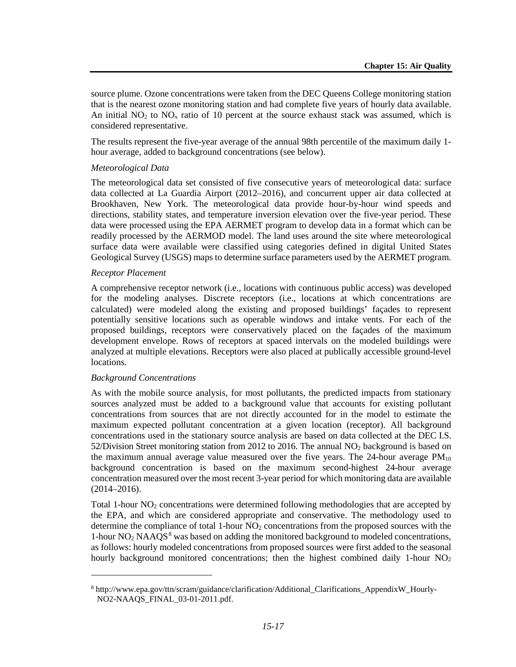source plume. Ozone concentrations were taken from the DEC Queens College monitoring station that is the nearest ozone monitoring station and had complete five years of hourly data available. An initial  $NO<sub>2</sub>$  to  $NO<sub>x</sub>$  ratio of 10 percent at the source exhaust stack was assumed, which is considered representative.

The results represent the five-year average of the annual 98th percentile of the maximum daily 1 hour average, added to background concentrations (see below).

#### *Meteorological Data*

The meteorological data set consisted of five consecutive years of meteorological data: surface data collected at La Guardia Airport (2012–2016), and concurrent upper air data collected at Brookhaven, New York. The meteorological data provide hour-by-hour wind speeds and directions, stability states, and temperature inversion elevation over the five-year period. These data were processed using the EPA AERMET program to develop data in a format which can be readily processed by the AERMOD model. The land uses around the site where meteorological surface data were available were classified using categories defined in digital United States Geological Survey (USGS) maps to determine surface parameters used by the AERMET program.

#### *Receptor Placement*

A comprehensive receptor network (i.e., locations with continuous public access) was developed for the modeling analyses. Discrete receptors (i.e., locations at which concentrations are calculated) were modeled along the existing and proposed buildings' façades to represent potentially sensitive locations such as operable windows and intake vents. For each of the proposed buildings, receptors were conservatively placed on the façades of the maximum development envelope. Rows of receptors at spaced intervals on the modeled buildings were analyzed at multiple elevations. Receptors were also placed at publically accessible ground-level locations.

#### *Background Concentrations*

 $\overline{a}$ 

As with the mobile source analysis, for most pollutants, the predicted impacts from stationary sources analyzed must be added to a background value that accounts for existing pollutant concentrations from sources that are not directly accounted for in the model to estimate the maximum expected pollutant concentration at a given location (receptor). All background concentrations used in the stationary source analysis are based on data collected at the DEC I.S. 52/Division Street monitoring station from 2012 to 2016. The annual  $NO<sub>2</sub>$  background is based on the maximum annual average value measured over the five years. The 24-hour average  $PM_{10}$ background concentration is based on the maximum second-highest 24-hour average concentration measured over the most recent 3-year period for which monitoring data are available (2014–2016).

Total 1-hour NO<sub>2</sub> concentrations were determined following methodologies that are accepted by the EPA, and which are considered appropriate and conservative. The methodology used to determine the compliance of total 1-hour  $NO<sub>2</sub>$  concentrations from the proposed sources with the 1-hour  $NO<sub>2</sub> NAAQS<sup>8</sup>$  $NO<sub>2</sub> NAAQS<sup>8</sup>$  $NO<sub>2</sub> NAAQS<sup>8</sup>$  was based on adding the monitored background to modeled concentrations, as follows: hourly modeled concentrations from proposed sources were first added to the seasonal hourly background monitored concentrations; then the highest combined daily 1-hour  $NO<sub>2</sub>$ 

<span id="page-16-0"></span><sup>8</sup> http://www.epa.gov/ttn/scram/guidance/clarification/Additional\_Clarifications\_AppendixW\_Hourly-NO2-NAAQS\_FINAL\_03-01-2011.pdf.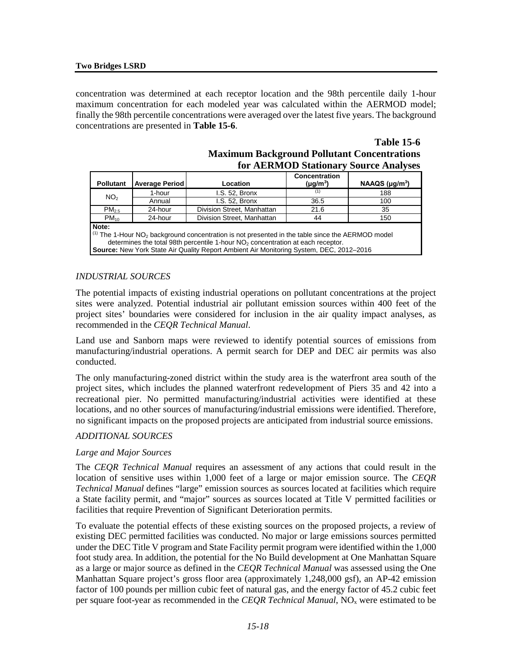concentration was determined at each receptor location and the 98th percentile daily 1-hour maximum concentration for each modeled year was calculated within the AERMOD model; finally the 98th percentile concentrations were averaged over the latest five years. The background concentrations are presented in **Table 15-6**.

#### **Table 15-6 Maximum Background Pollutant Concentrations for AERMOD Stationary Source Analyses**

| <b>Pollutant</b>                                                                            | <b>Average Period</b> | Location                                                                                                                        | Concentration<br>$(\mu g/m^3)$ | NAAQS $(\mu g/m^3)$ |  |
|---------------------------------------------------------------------------------------------|-----------------------|---------------------------------------------------------------------------------------------------------------------------------|--------------------------------|---------------------|--|
|                                                                                             |                       |                                                                                                                                 |                                |                     |  |
| NO <sub>2</sub>                                                                             | 1-hour                | I.S. 52. Bronx                                                                                                                  | (1)                            | 188                 |  |
|                                                                                             | Annual                | I.S. 52. Bronx                                                                                                                  | 36.5                           | 100                 |  |
| $PM_{2.5}$                                                                                  | 24-hour               | Division Street, Manhattan                                                                                                      | 21.6                           | 35                  |  |
| $PM_{10}$                                                                                   | 24-hour               | Division Street. Manhattan                                                                                                      | 44                             | 150                 |  |
| Note:                                                                                       |                       |                                                                                                                                 |                                |                     |  |
|                                                                                             |                       | $\left  \right\rangle$ The 1-Hour NO <sub>2</sub> background concentration is not presented in the table since the AERMOD model |                                |                     |  |
| determines the total 98th percentile 1-hour NO <sub>2</sub> concentration at each receptor. |                       |                                                                                                                                 |                                |                     |  |
|                                                                                             |                       | Source: New York State Air Quality Report Ambient Air Monitoring System, DEC, 2012-2016                                         |                                |                     |  |

#### *INDUSTRIAL SOURCES*

The potential impacts of existing industrial operations on pollutant concentrations at the project sites were analyzed. Potential industrial air pollutant emission sources within 400 feet of the project sites' boundaries were considered for inclusion in the air quality impact analyses, as recommended in the *CEQR Technical Manual*.

Land use and Sanborn maps were reviewed to identify potential sources of emissions from manufacturing/industrial operations. A permit search for DEP and DEC air permits was also conducted.

The only manufacturing-zoned district within the study area is the waterfront area south of the project sites, which includes the planned waterfront redevelopment of Piers 35 and 42 into a recreational pier. No permitted manufacturing/industrial activities were identified at these locations, and no other sources of manufacturing/industrial emissions were identified. Therefore, no significant impacts on the proposed projects are anticipated from industrial source emissions.

#### *ADDITIONAL SOURCES*

#### *Large and Major Sources*

The *CEQR Technical Manual* requires an assessment of any actions that could result in the location of sensitive uses within 1,000 feet of a large or major emission source. The *CEQR Technical Manual* defines "large" emission sources as sources located at facilities which require a State facility permit, and "major" sources as sources located at Title V permitted facilities or facilities that require Prevention of Significant Deterioration permits.

To evaluate the potential effects of these existing sources on the proposed projects, a review of existing DEC permitted facilities was conducted. No major or large emissions sources permitted under the DEC Title V program and State Facility permit program were identified within the 1,000 foot study area. In addition, the potential for the No Build development at One Manhattan Square as a large or major source as defined in the *CEQR Technical Manual* was assessed using the One Manhattan Square project's gross floor area (approximately 1,248,000 gsf), an AP-42 emission factor of 100 pounds per million cubic feet of natural gas, and the energy factor of 45.2 cubic feet per square foot-year as recommended in the *CEOR Technical Manual*, NO<sub>x</sub> were estimated to be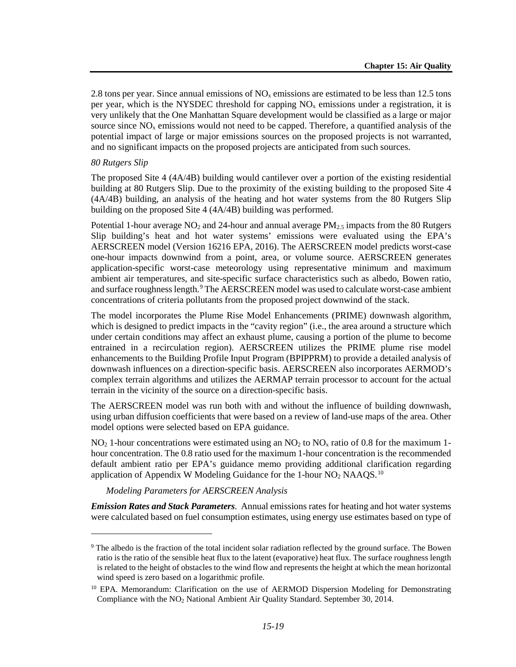2.8 tons per year. Since annual emissions of  $NO<sub>x</sub>$  emissions are estimated to be less than 12.5 tons per year, which is the NYSDEC threshold for capping  $NO<sub>x</sub>$  emissions under a registration, it is very unlikely that the One Manhattan Square development would be classified as a large or major source since  $NO<sub>x</sub>$  emissions would not need to be capped. Therefore, a quantified analysis of the potential impact of large or major emissions sources on the proposed projects is not warranted, and no significant impacts on the proposed projects are anticipated from such sources.

#### *80 Rutgers Slip*

 $\overline{a}$ 

The proposed Site 4 (4A/4B) building would cantilever over a portion of the existing residential building at 80 Rutgers Slip. Due to the proximity of the existing building to the proposed Site 4 (4A/4B) building, an analysis of the heating and hot water systems from the 80 Rutgers Slip building on the proposed Site 4 (4A/4B) building was performed.

Potential 1-hour average  $NO<sub>2</sub>$  and 24-hour and annual average  $PM<sub>2.5</sub>$  impacts from the 80 Rutgers Slip building's heat and hot water systems' emissions were evaluated using the EPA's AERSCREEN model (Version 16216 EPA, 2016). The AERSCREEN model predicts worst-case one-hour impacts downwind from a point, area, or volume source. AERSCREEN generates application-specific worst-case meteorology using representative minimum and maximum ambient air temperatures, and site-specific surface characteristics such as albedo, Bowen ratio, and surface roughness length.<sup>[9](#page-18-0)</sup> The AERSCREEN model was used to calculate worst-case ambient concentrations of criteria pollutants from the proposed project downwind of the stack.

The model incorporates the Plume Rise Model Enhancements (PRIME) downwash algorithm, which is designed to predict impacts in the "cavity region" (i.e., the area around a structure which under certain conditions may affect an exhaust plume, causing a portion of the plume to become entrained in a recirculation region). AERSCREEN utilizes the PRIME plume rise model enhancements to the Building Profile Input Program (BPIPPRM) to provide a detailed analysis of downwash influences on a direction-specific basis. AERSCREEN also incorporates AERMOD's complex terrain algorithms and utilizes the AERMAP terrain processor to account for the actual terrain in the vicinity of the source on a direction-specific basis.

The AERSCREEN model was run both with and without the influence of building downwash, using urban diffusion coefficients that were based on a review of land-use maps of the area. Other model options were selected based on EPA guidance.

 $NO<sub>2</sub>$  1-hour concentrations were estimated using an  $NO<sub>2</sub>$  to  $NO<sub>x</sub>$  ratio of 0.8 for the maximum 1hour concentration. The 0.8 ratio used for the maximum 1-hour concentration is the recommended default ambient ratio per EPA's guidance memo providing additional clarification regarding application of Appendix W Modeling Guidance for the 1-hour  $NO<sub>2</sub> NAAQS.<sup>10</sup>$  $NO<sub>2</sub> NAAQS.<sup>10</sup>$  $NO<sub>2</sub> NAAQS.<sup>10</sup>$ 

*Modeling Parameters for AERSCREEN Analysis*

*Emission Rates and Stack Parameters*. Annual emissions rates for heating and hot water systems were calculated based on fuel consumption estimates, using energy use estimates based on type of

<span id="page-18-0"></span><sup>9</sup> The albedo is the fraction of the total incident solar radiation reflected by the ground surface. The Bowen ratio is the ratio of the sensible heat flux to the latent (evaporative) heat flux. The surface roughness length is related to the height of obstacles to the wind flow and represents the height at which the mean horizontal wind speed is zero based on a logarithmic profile.

<span id="page-18-1"></span><sup>&</sup>lt;sup>10</sup> EPA. Memorandum: Clarification on the use of AERMOD Dispersion Modeling for Demonstrating Compliance with the NO2 National Ambient Air Quality Standard. September 30, 2014.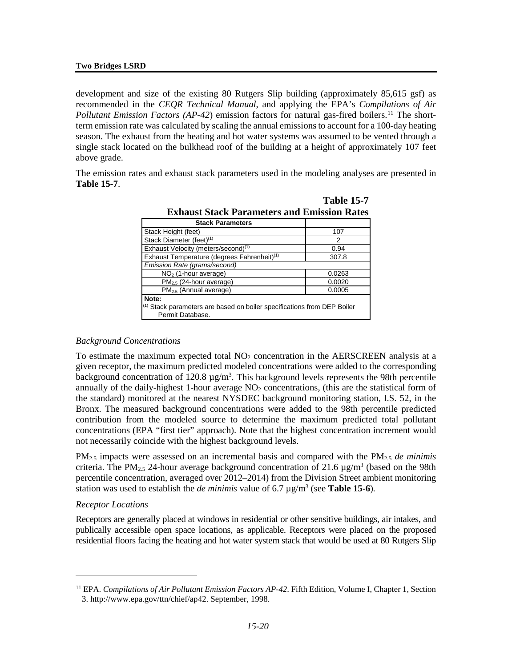development and size of the existing 80 Rutgers Slip building (approximately 85,615 gsf) as recommended in the *CEQR Technical Manual*, and applying the EPA's *Compilations of Air*  Pollutant Emission Factors (AP-42) emission factors for natural gas-fired boilers.<sup>[11](#page-19-0)</sup> The shortterm emission rate was calculated by scaling the annual emissions to account for a 100-day heating season. The exhaust from the heating and hot water systems was assumed to be vented through a single stack located on the bulkhead roof of the building at a height of approximately 107 feet above grade.

The emission rates and exhaust stack parameters used in the modeling analyses are presented in **Table 15-7**.

| <b>Exhaust Stack Parameters and Emission Rates</b>                                                     |        |  |
|--------------------------------------------------------------------------------------------------------|--------|--|
| <b>Stack Parameters</b>                                                                                |        |  |
| Stack Height (feet)                                                                                    | 107    |  |
| Stack Diameter (feet) <sup>(1)</sup>                                                                   | 2      |  |
| Exhaust Velocity (meters/second) <sup>(1)</sup>                                                        | 0.94   |  |
| Exhaust Temperature (degrees Fahrenheit) <sup>(1)</sup>                                                | 307.8  |  |
| Emission Rate (grams/second)                                                                           |        |  |
| $NO2$ (1-hour average)                                                                                 | 0.0263 |  |
| $PM2.5$ (24-hour average)                                                                              | 0.0020 |  |
| $PM2.5$ (Annual average)                                                                               | 0.0005 |  |
| Note:<br>$(1)$ Stack parameters are based on boiler specifications from DEP Boiler<br>Permit Database. |        |  |

**Table 15-7**

#### *Background Concentrations*

To estimate the maximum expected total  $NO<sub>2</sub>$  concentration in the AERSCREEN analysis at a given receptor, the maximum predicted modeled concentrations were added to the corresponding background concentration of 120.8  $\mu$ g/m<sup>3</sup>. This background levels represents the 98th percentile annually of the daily-highest 1-hour average  $NO<sub>2</sub>$  concentrations, (this are the statistical form of the standard) monitored at the nearest NYSDEC background monitoring station, I.S. 52, in the Bronx. The measured background concentrations were added to the 98th percentile predicted contribution from the modeled source to determine the maximum predicted total pollutant concentrations (EPA "first tier" approach). Note that the highest concentration increment would not necessarily coincide with the highest background levels.

PM2.5 impacts were assessed on an incremental basis and compared with the PM2.5 *de minimis*  criteria. The PM<sub>2.5</sub> 24-hour average background concentration of 21.6  $\mu$ g/m<sup>3</sup> (based on the 98th percentile concentration, averaged over 2012–2014) from the Division Street ambient monitoring station was used to establish the *de minimis* value of 6.7  $\mu$ g/m<sup>3</sup> (see **Table 15-6**).

#### *Receptor Locations*

 $\overline{a}$ 

Receptors are generally placed at windows in residential or other sensitive buildings, air intakes, and publically accessible open space locations, as applicable. Receptors were placed on the proposed residential floors facing the heating and hot water system stack that would be used at 80 Rutgers Slip

<span id="page-19-0"></span><sup>11</sup> EPA. *Compilations of Air Pollutant Emission Factors AP-42*. Fifth Edition, Volume I, Chapter 1, Section 3. http://www.epa.gov/ttn/chief/ap42. September, 1998.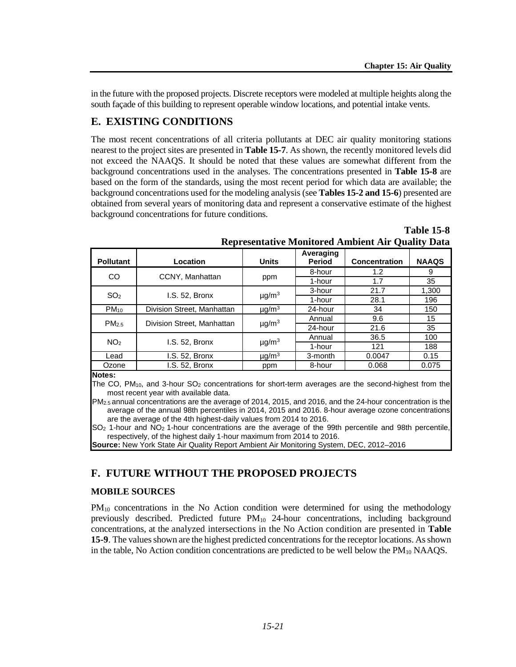in the future with the proposed projects. Discrete receptors were modeled at multiple heights along the south façade of this building to represent operable window locations, and potential intake vents.

### **E. EXISTING CONDITIONS**

The most recent concentrations of all criteria pollutants at DEC air quality monitoring stations nearest to the project sites are presented in **Table 15-7**. As shown, the recently monitored levels did not exceed the NAAQS. It should be noted that these values are somewhat different from the background concentrations used in the analyses. The concentrations presented in **Table 15-8** are based on the form of the standards, using the most recent period for which data are available; the background concentrations used for the modeling analysis (see **Tables 15-2 and 15-6**) presented are obtained from several years of monitoring data and represent a conservative estimate of the highest background concentrations for future conditions.

| <b>Pollutant</b>  | Location                   | <b>Units</b>           | Averaging<br><b>Period</b> | <b>Concentration</b> | <b>NAAQS</b> |
|-------------------|----------------------------|------------------------|----------------------------|----------------------|--------------|
| CO                | CCNY, Manhattan            |                        | 8-hour                     | 1.2                  | 9            |
|                   |                            | ppm                    | 1-hour                     | 1.7                  | 35           |
| SO <sub>2</sub>   | I.S. 52, Bronx             |                        | 3-hour                     | 21.7                 | 1,300        |
|                   |                            | $\mu$ g/m <sup>3</sup> | 1-hour                     | 28.1                 | 196          |
| $PM_{10}$         | Division Street, Manhattan | $\mu$ g/m <sup>3</sup> | 24-hour                    | 34                   | 150          |
| PM <sub>2.5</sub> | Division Street, Manhattan | $\mu$ g/m <sup>3</sup> | Annual                     | 9.6                  | 15           |
|                   |                            |                        | 24-hour                    | 21.6                 | 35           |
| NO <sub>2</sub>   |                            |                        | Annual                     | 36.5                 | 100          |
|                   | I.S. 52, Bronx             | $\mu$ g/m <sup>3</sup> | 1-hour                     | 121                  | 188          |
| Lead              | I.S. 52, Bronx             | $\mu$ g/m <sup>3</sup> | 3-month                    | 0.0047               | 0.15         |
| Ozone             | I.S. 52, Bronx             | ppm                    | 8-hour                     | 0.068                | 0.075        |
|                   |                            |                        |                            |                      |              |

|                                                          | <b>Table 15-8</b> |
|----------------------------------------------------------|-------------------|
| <b>Representative Monitored Ambient Air Quality Data</b> |                   |

**Notes:**

The CO, PM10, and 3-hour SO2 concentrations for short-term averages are the second-highest from the most recent year with available data.

PM2.5 annual concentrations are the average of 2014, 2015, and 2016, and the 24-hour concentration is the average of the annual 98th percentiles in 2014, 2015 and 2016. 8-hour average ozone concentrations are the average of the 4th highest-daily values from 2014 to 2016.

 $SO<sub>2</sub>$  1-hour and  $NO<sub>2</sub>$  1-hour concentrations are the average of the 99th percentile and 98th percentile, respectively, of the highest daily 1-hour maximum from 2014 to 2016.

**Source:** New York State Air Quality Report Ambient Air Monitoring System, DEC, 2012–2016

### **F. FUTURE WITHOUT THE PROPOSED PROJECTS**

#### **MOBILE SOURCES**

 $PM_{10}$  concentrations in the No Action condition were determined for using the methodology previously described. Predicted future PM<sub>10</sub> 24-hour concentrations, including background concentrations, at the analyzed intersections in the No Action condition are presented in **Table 15-9**. The values shown are the highest predicted concentrations for the receptor locations. As shown in the table, No Action condition concentrations are predicted to be well below the  $PM_{10}$  NAAQS.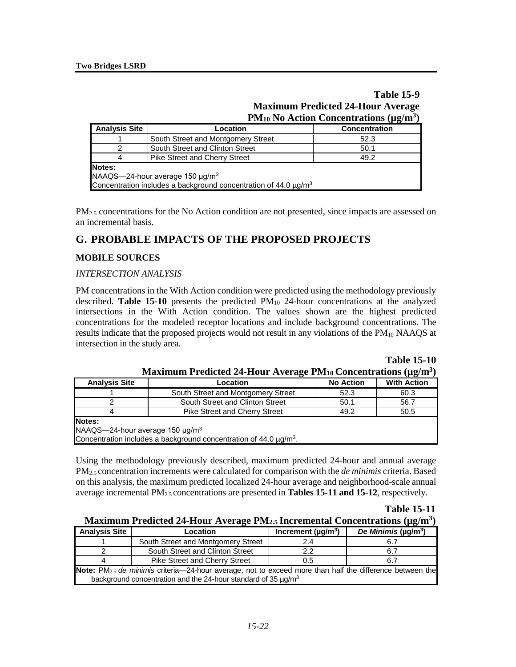#### **Table 15-9 Maximum Predicted 24-Hour Average PM10 No Action Concentrations (µg/m3)**

| <b>Analysis Site</b>                                                                                                                 | Location                             | `' 0<br><b>Concentration</b> |  |  |
|--------------------------------------------------------------------------------------------------------------------------------------|--------------------------------------|------------------------------|--|--|
|                                                                                                                                      | South Street and Montgomery Street   | 52.3                         |  |  |
|                                                                                                                                      | South Street and Clinton Street      | 50.1                         |  |  |
| 4                                                                                                                                    | <b>Pike Street and Cherry Street</b> | 49.2                         |  |  |
| Notes:<br>NAAQS-24-hour average 150 µg/m <sup>3</sup><br>Concentration includes a background concentration of 44.0 µg/m <sup>3</sup> |                                      |                              |  |  |

PM<sub>2.5</sub> concentrations for the No Action condition are not presented, since impacts are assessed on an incremental basis.

### **G. PROBABLE IMPACTS OF THE PROPOSED PROJECTS**

#### **MOBILE SOURCES**

#### *INTERSECTION ANALYSIS*

PM concentrations in the With Action condition were predicted using the methodology previously described. **Table 15-10** presents the predicted PM<sub>10</sub> 24-hour concentrations at the analyzed intersections in the With Action condition. The values shown are the highest predicted concentrations for the modeled receptor locations and include background concentrations. The results indicate that the proposed projects would not result in any violations of the PM<sub>10</sub> NAAQS at intersection in the study area.

**Table 15-10**

| <b>Analysis Site</b>                                                                                                            | Location                             | <b>No Action</b> | <b>With Action</b> |  |
|---------------------------------------------------------------------------------------------------------------------------------|--------------------------------------|------------------|--------------------|--|
|                                                                                                                                 | South Street and Montgomery Street   | 52.3             | 60.3               |  |
|                                                                                                                                 | South Street and Clinton Street      | 50.1             | 56.7               |  |
|                                                                                                                                 | <b>Pike Street and Cherry Street</b> | 49.2             | 50.5               |  |
| Notes:<br>NAAQS-24-hour average 150 µg/m <sup>3</sup><br>Concentration includes a background concentration of $44.0 \mu g/m3$ . |                                      |                  |                    |  |

**Maximum Predicted 24-Hour Average PM10 Concentrations (µg/m3)**

Using the methodology previously described, maximum predicted 24-hour and annual average PM2.5 concentration increments were calculated for comparison with the *de minimis* criteria. Based on this analysis, the maximum predicted localized 24-hour average and neighborhood-scale annual average incremental PM2.5 concentrations are presented in **Tables 15-11 and 15-12**, respectively.

### **Table 15-11**

| Maximum Predicted 24-Hour Average PM <sub>2.5</sub> Incremental Concentrations (µg/m <sup>3</sup> ) |  |
|-----------------------------------------------------------------------------------------------------|--|
|-----------------------------------------------------------------------------------------------------|--|

| <b>Analysis Site</b>                                                                                                 | <b>Location</b>                      | Increment ( $\mu$ g/m <sup>3</sup> ) | De Minimis ( $\mu$ g/m <sup>3</sup> ) |  |  |
|----------------------------------------------------------------------------------------------------------------------|--------------------------------------|--------------------------------------|---------------------------------------|--|--|
|                                                                                                                      | South Street and Montgomery Street   | 2.4                                  |                                       |  |  |
|                                                                                                                      | South Street and Clinton Street      | 2.2                                  | 6.7                                   |  |  |
|                                                                                                                      | <b>Pike Street and Cherry Street</b> | 0.5                                  | 6.7                                   |  |  |
| Note: PM <sub>2.5</sub> de minimis criteria—24-hour average, not to exceed more than half the difference between the |                                      |                                      |                                       |  |  |
| background concentration and the 24-hour standard of 35 $\mu$ g/m <sup>3</sup>                                       |                                      |                                      |                                       |  |  |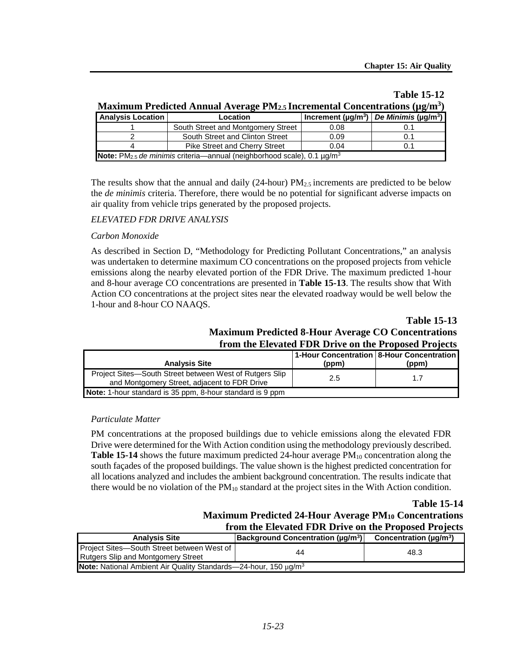#### **Maximum Predicted Annual Average PM2.5 Incremental Concentrations (µg/m<sup>3</sup>)<br>Analysis Location | Location | Increment (µg/m<sup>3</sup>) | De Minimis (µg/m<sup>3</sup>) Analysis Location Location Increment (µg/m3)** *De Minimis* **(µg/m3)** 1 South Street and Montgomery Street 0.08 0.1 2 South Street and Clinton Street 0.09 0.1<br>4 Pike Street and Cherry Street 0.04 0.1 Pike Street and Cherry Street | 0.04 | 0.1

**Note:** PM2.5 *de minimis* criteria—annual (neighborhood scale), 0.1 µg/m3

## **Table 15-12**

The results show that the annual and daily (24-hour)  $PM_{2.5}$  increments are predicted to be below the *de minimis* criteria. Therefore, there would be no potential for significant adverse impacts on air quality from vehicle trips generated by the proposed projects.

#### *ELEVATED FDR DRIVE ANALYSIS*

#### *Carbon Monoxide*

As described in Section D, "Methodology for Predicting Pollutant Concentrations," an analysis was undertaken to determine maximum CO concentrations on the proposed projects from vehicle emissions along the nearby elevated portion of the FDR Drive. The maximum predicted 1-hour and 8-hour average CO concentrations are presented in **Table 15-13**. The results show that With Action CO concentrations at the project sites near the elevated roadway would be well below the 1-hour and 8-hour CO NAAQS.

#### **Table 15-13 Maximum Predicted 8-Hour Average CO Concentrations from the Elevated FDR Drive on the Proposed Projects**

| <b>Analysis Site</b>                                                                                    | (ppm) | 1-Hour Concentration   8-Hour Concentration  <br>(ppm) |
|---------------------------------------------------------------------------------------------------------|-------|--------------------------------------------------------|
| Project Sites-South Street between West of Rutgers Slip<br>and Montgomery Street, adjacent to FDR Drive | 2.5   | 1.7                                                    |
| <b>Note:</b> 1-hour standard is 35 ppm, 8-hour standard is 9 ppm                                        |       |                                                        |

#### *Particulate Matter*

PM concentrations at the proposed buildings due to vehicle emissions along the elevated FDR Drive were determined for the With Action condition using the methodology previously described. **Table 15-14** shows the future maximum predicted 24-hour average PM<sub>10</sub> concentration along the south façades of the proposed buildings. The value shown is the highest predicted concentration for all locations analyzed and includes the ambient background concentration. The results indicate that there would be no violation of the PM10 standard at the project sites in the With Action condition.

#### **Table 15-14**

### **Maximum Predicted 24-Hour Average PM10 Concentrations from the Elevated FDR Drive on the Proposed Projects**

| <b>Analysis Site</b>                                                                    | $ $ Background Concentration ( $\mu$ g/m <sup>3</sup> ) $ $ | Concentration ( $\mu$ q/m <sup>3</sup> ) |  |  |
|-----------------------------------------------------------------------------------------|-------------------------------------------------------------|------------------------------------------|--|--|
| Project Sites-South Street between West of<br><b>Rutgers Slip and Montgomery Street</b> | 44                                                          | 48.3                                     |  |  |
| <b>Note:</b> National Ambient Air Quality Standards-24-hour, 150 $\mu$ g/m <sup>3</sup> |                                                             |                                          |  |  |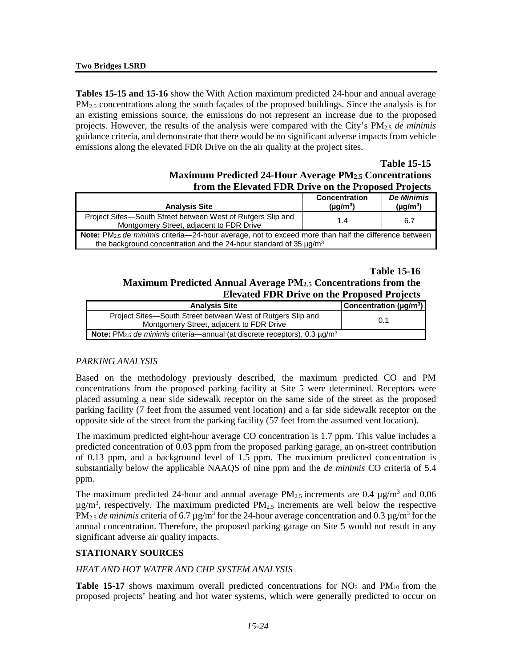**Tables 15-15 and 15-16** show the With Action maximum predicted 24-hour and annual average  $PM_{2.5}$  concentrations along the south facades of the proposed buildings. Since the analysis is for an existing emissions source, the emissions do not represent an increase due to the proposed projects. However, the results of the analysis were compared with the City's PM2.5 *de minimis* guidance criteria, and demonstrate that there would be no significant adverse impacts from vehicle emissions along the elevated FDR Drive on the air quality at the project sites.

#### **Table 15-15 Maximum Predicted 24-Hour Average PM2.5 Concentrations from the Elevated FDR Drive on the Proposed Projects**

| <b>Analysis Site</b>                                                                                                                                                                       | <b>Concentration</b><br>$(\mu q/m^3)$ | <b>De Minimis</b><br>$(\mu g/m^3)$ |  |  |
|--------------------------------------------------------------------------------------------------------------------------------------------------------------------------------------------|---------------------------------------|------------------------------------|--|--|
| Project Sites-South Street between West of Rutgers Slip and<br>Montgomery Street, adjacent to FDR Drive                                                                                    | 1.4                                   | 6.7                                |  |  |
| Note: PM <sub>2.5</sub> de minimis criteria-24-hour average, not to exceed more than half the difference between<br>the background concentration and the 24-hour standard of 35 $\mu q/m3$ |                                       |                                    |  |  |

#### **Table 15-16 Maximum Predicted Annual Average PM2.5 Concentrations from the Elevated FDR Drive on the Proposed Projects**

| <b>Analysis Site</b>                                                                                    | <b>Concentration (µg/m<sup>3</sup>)</b> |
|---------------------------------------------------------------------------------------------------------|-----------------------------------------|
| Project Sites—South Street between West of Rutgers Slip and<br>Montgomery Street, adjacent to FDR Drive | 0.1                                     |
| <b>Note:</b> PM <sub>2.5</sub> de minimis criteria—annual (at discrete receptors), 0.3 $\mu q/m^3$      |                                         |

#### *PARKING ANALYSIS*

Based on the methodology previously described, the maximum predicted CO and PM concentrations from the proposed parking facility at Site 5 were determined. Receptors were placed assuming a near side sidewalk receptor on the same side of the street as the proposed parking facility (7 feet from the assumed vent location) and a far side sidewalk receptor on the opposite side of the street from the parking facility (57 feet from the assumed vent location).

The maximum predicted eight-hour average CO concentration is 1.7 ppm. This value includes a predicted concentration of 0.03 ppm from the proposed parking garage, an on-street contribution of 0.13 ppm, and a background level of 1.5 ppm. The maximum predicted concentration is substantially below the applicable NAAQS of nine ppm and the *de minimis* CO criteria of 5.4 ppm.

The maximum predicted 24-hour and annual average  $PM_{2.5}$  increments are 0.4  $\mu$ g/m<sup>3</sup> and 0.06  $\mu$ g/m<sup>3</sup>, respectively. The maximum predicted PM<sub>2.5</sub> increments are well below the respective  $PM_{2.5}$  *de minimis* criteria of 6.7  $\mu$ g/m<sup>3</sup> for the 24-hour average concentration and 0.3  $\mu$ g/m<sup>3</sup> for the annual concentration. Therefore, the proposed parking garage on Site 5 would not result in any significant adverse air quality impacts.

#### **STATIONARY SOURCES**

#### *HEAT AND HOT WATER AND CHP SYSTEM ANALYSIS*

**Table 15-17** shows maximum overall predicted concentrations for  $NO<sub>2</sub>$  and  $PM<sub>10</sub>$  from the proposed projects' heating and hot water systems, which were generally predicted to occur on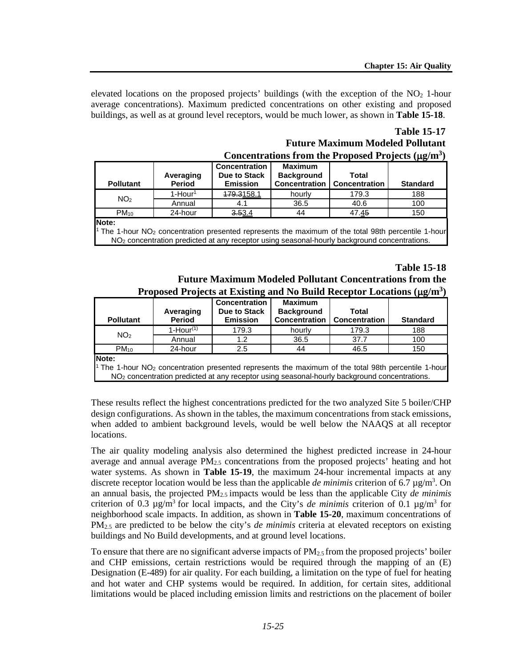elevated locations on the proposed projects' buildings (with the exception of the  $NO<sub>2</sub>$  1-hour average concentrations). Maximum predicted concentrations on other existing and proposed buildings, as well as at ground level receptors, would be much lower, as shown in **Table 15-18**.

### **Table 15-17 Future Maximum Modeled Pollutant Concentrations from the Proposed Projects (**µ**g/m3)**

| <b>Pollutant</b> | Averaging<br>Period | <b>Concentration</b><br>Due to Stack<br><b>Emission</b> | <b>Maximum</b><br><b>Background</b><br><b>Concentration</b> | Total<br><b>Concentration</b> | <b>Standard</b> |
|------------------|---------------------|---------------------------------------------------------|-------------------------------------------------------------|-------------------------------|-----------------|
| NO <sub>2</sub>  | $1 -$ Hour $1$      | <del>179.3</del> 158.1                                  | hourly                                                      | 179.3                         | 188             |
|                  | Annual              | 4.1                                                     | 36.5                                                        | 40.6                          | 100             |
| $PM_{10}$        | 24-hour             | 3.53.4                                                  | 44                                                          | 47. <u>45</u>                 | 150             |
| <b>Note:</b>     |                     |                                                         |                                                             |                               |                 |

**Note:**

1 The 1-hour NO2 concentration presented represents the maximum of the total 98th percentile 1-hour NO<sub>2</sub> concentration predicted at any receptor using seasonal-hourly background concentrations.

#### **Table 15-18 Future Maximum Modeled Pollutant Concentrations from the Proposed Projects at Existing and No Build Receptor Locations (**µ**g/m3)**

| <b>Pollutant</b>                                                                                                 | Averaging<br>Period | <b>Concentration</b><br>Due to Stack<br><b>Emission</b> | <b>Maximum</b><br><b>Background</b><br><b>Concentration</b> | Total<br><b>Concentration</b> | <b>Standard</b> |
|------------------------------------------------------------------------------------------------------------------|---------------------|---------------------------------------------------------|-------------------------------------------------------------|-------------------------------|-----------------|
| NO <sub>2</sub>                                                                                                  | $1-Hour(1)$         | 179.3                                                   | hourly                                                      | 179.3                         | 188             |
|                                                                                                                  | Annual              | 1.2                                                     | 36.5                                                        | 37.7                          | 100             |
| $PM_{10}$                                                                                                        | 24-hour             | 2.5                                                     | 44                                                          | 46.5                          | 150             |
| Note:                                                                                                            |                     |                                                         |                                                             |                               |                 |
| <sup>1</sup> The 1-hour $NO2$ concentration presented represents the maximum of the total 98th percentile 1-hour |                     |                                                         |                                                             |                               |                 |
| NO <sub>2</sub> concentration predicted at any receptor using seasonal-hourly background concentrations.         |                     |                                                         |                                                             |                               |                 |

These results reflect the highest concentrations predicted for the two analyzed Site 5 boiler/CHP design configurations. As shown in the tables, the maximum concentrations from stack emissions, when added to ambient background levels, would be well below the NAAQS at all receptor locations.

The air quality modeling analysis also determined the highest predicted increase in 24-hour average and annual average  $PM_{2.5}$  concentrations from the proposed projects' heating and hot water systems. As shown in **Table 15-19**, the maximum 24-hour incremental impacts at any discrete receptor location would be less than the applicable *de minimis* criterion of 6.7 µg/m<sup>3</sup>. On an annual basis, the projected PM2.5 impacts would be less than the applicable City *de minimis* criterion of 0.3  $\mu$ g/m<sup>3</sup> for local impacts, and the City's *de minimis* criterion of 0.1  $\mu$ g/m<sup>3</sup> for neighborhood scale impacts. In addition, as shown in **Table 15-20**, maximum concentrations of PM2.5 are predicted to be below the city's *de minimis* criteria at elevated receptors on existing buildings and No Build developments, and at ground level locations.

To ensure that there are no significant adverse impacts of  $PM_{2.5}$  from the proposed projects' boiler and CHP emissions, certain restrictions would be required through the mapping of an (E) Designation (E-489) for air quality. For each building, a limitation on the type of fuel for heating and hot water and CHP systems would be required. In addition, for certain sites, additional limitations would be placed including emission limits and restrictions on the placement of boiler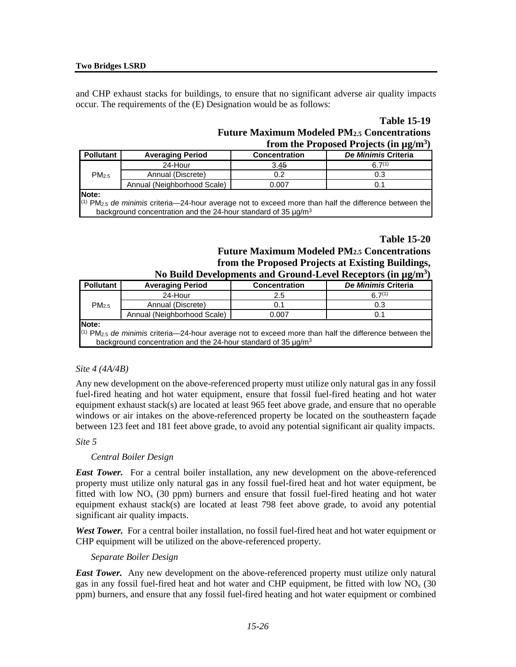and CHP exhaust stacks for buildings, to ensure that no significant adverse air quality impacts occur. The requirements of the (E) Designation would be as follows:

#### **Table 15-19 Future Maximum Modeled PM2.5 Concentrations from the Proposed Projects (in µg/m3)**

|                                                                                                                        | $100\text{m}$ the 1 reposed 1 rejects (in $\mu_{\rm B}$ /m                     |                      |                     |  |  |
|------------------------------------------------------------------------------------------------------------------------|--------------------------------------------------------------------------------|----------------------|---------------------|--|--|
| <b>Pollutant</b>                                                                                                       | <b>Averaging Period</b>                                                        | <b>Concentration</b> | De Minimis Criteria |  |  |
|                                                                                                                        | 24-Hour                                                                        | 3.45                 | $67^{(1)}$          |  |  |
| PM <sub>2.5</sub>                                                                                                      | Annual (Discrete)                                                              | 0.2                  | 0.3                 |  |  |
|                                                                                                                        | Annual (Neighborhood Scale)                                                    | 0.007                | 0.1                 |  |  |
| Note:                                                                                                                  |                                                                                |                      |                     |  |  |
| $^{(1)}$ PM <sub>2.5</sub> de minimis criteria—24-hour average not to exceed more than half the difference between the |                                                                                |                      |                     |  |  |
|                                                                                                                        | background concentration and the 24-hour standard of 35 $\mu$ g/m <sup>3</sup> |                      |                     |  |  |

### **Table 15-20**

#### **Future Maximum Modeled PM2.5 Concentrations from the Proposed Projects at Existing Buildings, No Build Developments and Ground-Level Receptors (in µg/m3)**

| Two Dund Developments and Ground-Level Receptors (in µg/m                                                              |                                                                                |                      |                     |  |  |
|------------------------------------------------------------------------------------------------------------------------|--------------------------------------------------------------------------------|----------------------|---------------------|--|--|
| <b>Pollutant</b>                                                                                                       | <b>Averaging Period</b>                                                        | <b>Concentration</b> | De Minimis Criteria |  |  |
|                                                                                                                        | 24-Hour                                                                        | 2.5                  | $67^{(1)}$          |  |  |
| $PM_{2.5}$                                                                                                             | Annual (Discrete)                                                              | 0.1                  | 0.3                 |  |  |
|                                                                                                                        | Annual (Neighborhood Scale)                                                    | 0.007                | 0.1                 |  |  |
| <b>Note:</b>                                                                                                           |                                                                                |                      |                     |  |  |
| $^{(1)}$ PM <sub>2.5</sub> de minimis criteria—24-hour average not to exceed more than half the difference between the |                                                                                |                      |                     |  |  |
|                                                                                                                        | background concentration and the 24-hour standard of 35 $\mu$ g/m <sup>3</sup> |                      |                     |  |  |

#### *Site 4 (4A/4B)*

Any new development on the above-referenced property must utilize only natural gas in any fossil fuel-fired heating and hot water equipment, ensure that fossil fuel-fired heating and hot water equipment exhaust stack(s) are located at least 965 feet above grade, and ensure that no operable windows or air intakes on the above-referenced property be located on the southeastern façade between 123 feet and 181 feet above grade, to avoid any potential significant air quality impacts.

#### *Site 5*

#### *Central Boiler Design*

*East Tower.* For a central boiler installation, any new development on the above-referenced property must utilize only natural gas in any fossil fuel-fired heat and hot water equipment, be fitted with low  $NO<sub>x</sub>$  (30 ppm) burners and ensure that fossil fuel-fired heating and hot water equipment exhaust stack(s) are located at least 798 feet above grade, to avoid any potential significant air quality impacts.

*West Tower.* For a central boiler installation, no fossil fuel-fired heat and hot water equipment or CHP equipment will be utilized on the above-referenced property.

#### *Separate Boiler Design*

*East Tower.* Any new development on the above-referenced property must utilize only natural gas in any fossil fuel-fired heat and hot water and CHP equipment, be fitted with low  $NO<sub>x</sub>$  (30 ppm) burners, and ensure that any fossil fuel-fired heating and hot water equipment or combined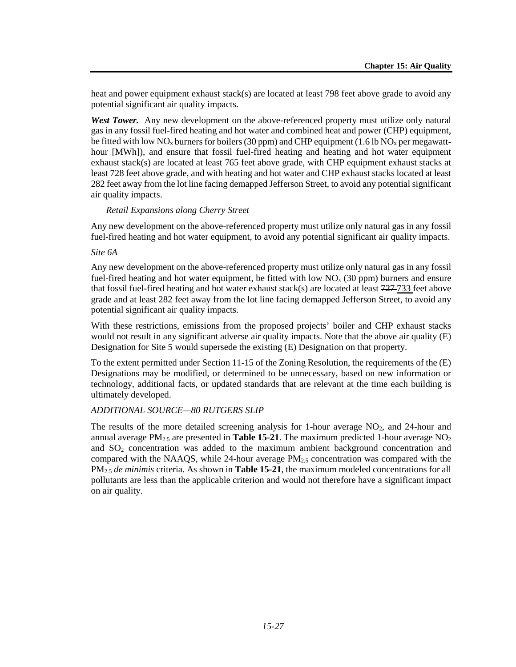heat and power equipment exhaust stack(s) are located at least 798 feet above grade to avoid any potential significant air quality impacts.

*West Tower.* Any new development on the above-referenced property must utilize only natural gas in any fossil fuel-fired heating and hot water and combined heat and power (CHP) equipment, be fitted with low  $NO<sub>x</sub>$  burners for boilers (30 ppm) and CHP equipment (1.6 lb  $NO<sub>x</sub>$  per megawatthour [MWh]), and ensure that fossil fuel-fired heating and heating and hot water equipment exhaust stack(s) are located at least 765 feet above grade, with CHP equipment exhaust stacks at least 728 feet above grade, and with heating and hot water and CHP exhaust stacks located at least 282 feet away from the lot line facing demapped Jefferson Street, to avoid any potential significant air quality impacts.

#### *Retail Expansions along Cherry Street*

Any new development on the above-referenced property must utilize only natural gas in any fossil fuel-fired heating and hot water equipment, to avoid any potential significant air quality impacts.

#### *Site 6A*

Any new development on the above-referenced property must utilize only natural gas in any fossil fuel-fired heating and hot water equipment, be fitted with low  $NO<sub>x</sub>$  (30 ppm) burners and ensure that fossil fuel-fired heating and hot water exhaust stack(s) are located at least  $727-733$  feet above grade and at least 282 feet away from the lot line facing demapped Jefferson Street, to avoid any potential significant air quality impacts.

With these restrictions, emissions from the proposed projects' boiler and CHP exhaust stacks would not result in any significant adverse air quality impacts. Note that the above air quality (E) Designation for Site 5 would supersede the existing (E) Designation on that property.

To the extent permitted under Section 11-15 of the Zoning Resolution, the requirements of the (E) Designations may be modified, or determined to be unnecessary, based on new information or technology, additional facts, or updated standards that are relevant at the time each building is ultimately developed.

#### *ADDITIONAL SOURCE—80 RUTGERS SLIP*

The results of the more detailed screening analysis for 1-hour average  $NO<sub>2</sub>$ , and 24-hour and annual average  $PM_{2.5}$  are presented in **Table 15-21**. The maximum predicted 1-hour average  $NO<sub>2</sub>$ and SO2 concentration was added to the maximum ambient background concentration and compared with the NAAQS, while 24-hour average  $PM_{2.5}$  concentration was compared with the PM2.5 *de minimis* criteria. As shown in **Table 15-21**, the maximum modeled concentrations for all pollutants are less than the applicable criterion and would not therefore have a significant impact on air quality.